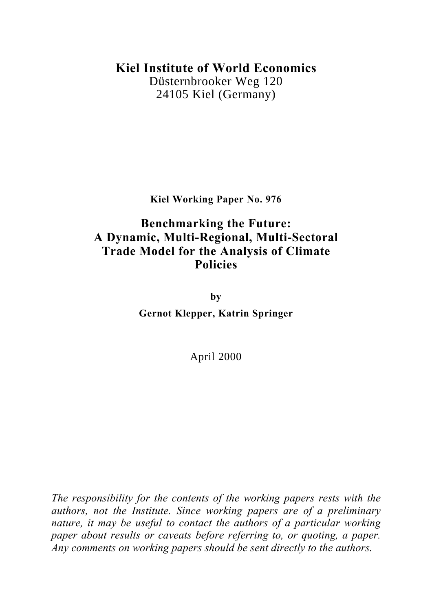# **Kiel Institute of World Economics**

Düsternbrooker Weg 120 24105 Kiel (Germany)

**Kiel Working Paper No. 976**

# **Benchmarking the Future: A Dynamic, Multi-Regional, Multi-Sectoral Trade Model for the Analysis of Climate Policies**

**by Gernot Klepper, Katrin Springer**

April 2000

*The responsibility for the contents of the working papers rests with the authors, not the Institute. Since working papers are of a preliminary nature, it may be useful to contact the authors of a particular working paper about results or caveats before referring to, or quoting, a paper. Any comments on working papers should be sent directly to the authors.*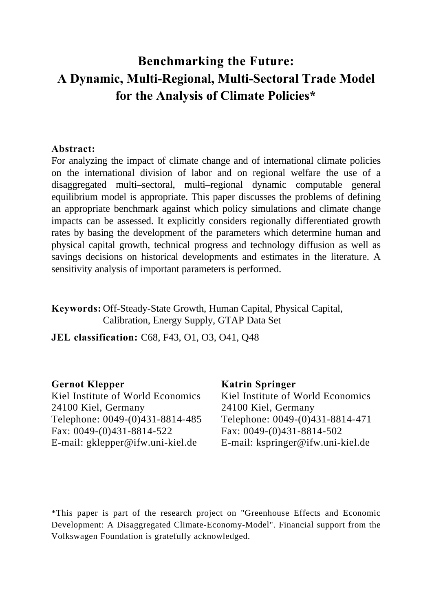# **Benchmarking the Future: A Dynamic, Multi-Regional, Multi-Sectoral Trade Model for the Analysis of Climate Policies\***

# **Abstract:**

For analyzing the impact of climate change and of international climate policies on the international division of labor and on regional welfare the use of a disaggregated multi–sectoral, multi–regional dynamic computable general equilibrium model is appropriate. This paper discusses the problems of defining an appropriate benchmark against which policy simulations and climate change impacts can be assessed. It explicitly considers regionally differentiated growth rates by basing the development of the parameters which determine human and physical capital growth, technical progress and technology diffusion as well as savings decisions on historical developments and estimates in the literature. A sensitivity analysis of important parameters is performed.

**Keywords:** Off-Steady-State Growth, Human Capital, Physical Capital, Calibration, Energy Supply, GTAP Data Set

**JEL classification:** C68, F43, O1, O3, O41, Q48

# **Gernot Klepper**

Kiel Institute of World Economics 24100 Kiel, Germany Telephone: 0049-(0)431-8814-485 Fax: 0049-(0)431-8814-522 E-mail: gklepper@ifw.uni-kiel.de

### **Katrin Springer**

Kiel Institute of World Economics 24100 Kiel, Germany Telephone: 0049-(0)431-8814-471 Fax: 0049-(0)431-8814-502 E-mail: kspringer@ifw.uni-kiel.de

\*This paper is part of the research project on "Greenhouse Effects and Economic Development: A Disaggregated Climate-Economy-Model". Financial support from the Volkswagen Foundation is gratefully acknowledged.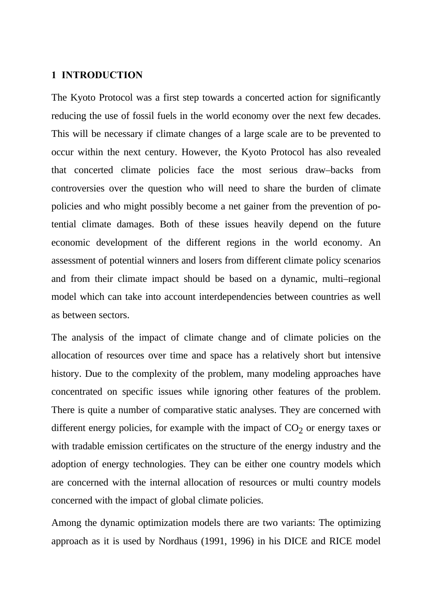### **1 INTRODUCTION**

The Kyoto Protocol was a first step towards a concerted action for significantly reducing the use of fossil fuels in the world economy over the next few decades. This will be necessary if climate changes of a large scale are to be prevented to occur within the next century. However, the Kyoto Protocol has also revealed that concerted climate policies face the most serious draw–backs from controversies over the question who will need to share the burden of climate policies and who might possibly become a net gainer from the prevention of potential climate damages. Both of these issues heavily depend on the future economic development of the different regions in the world economy. An assessment of potential winners and losers from different climate policy scenarios and from their climate impact should be based on a dynamic, multi–regional model which can take into account interdependencies between countries as well as between sectors.

The analysis of the impact of climate change and of climate policies on the allocation of resources over time and space has a relatively short but intensive history. Due to the complexity of the problem, many modeling approaches have concentrated on specific issues while ignoring other features of the problem. There is quite a number of comparative static analyses. They are concerned with different energy policies, for example with the impact of  $CO<sub>2</sub>$  or energy taxes or with tradable emission certificates on the structure of the energy industry and the adoption of energy technologies. They can be either one country models which are concerned with the internal allocation of resources or multi country models concerned with the impact of global climate policies.

Among the dynamic optimization models there are two variants: The optimizing approach as it is used by Nordhaus (1991, 1996) in his DICE and RICE model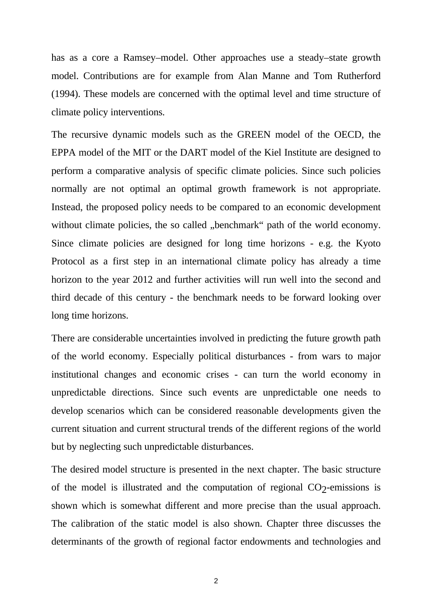has as a core a Ramsey–model. Other approaches use a steady–state growth model. Contributions are for example from Alan Manne and Tom Rutherford (1994). These models are concerned with the optimal level and time structure of climate policy interventions.

The recursive dynamic models such as the GREEN model of the OECD, the EPPA model of the MIT or the DART model of the Kiel Institute are designed to perform a comparative analysis of specific climate policies. Since such policies normally are not optimal an optimal growth framework is not appropriate. Instead, the proposed policy needs to be compared to an economic development without climate policies, the so called "benchmark" path of the world economy. Since climate policies are designed for long time horizons - e.g. the Kyoto Protocol as a first step in an international climate policy has already a time horizon to the year 2012 and further activities will run well into the second and third decade of this century - the benchmark needs to be forward looking over long time horizons.

There are considerable uncertainties involved in predicting the future growth path of the world economy. Especially political disturbances - from wars to major institutional changes and economic crises - can turn the world economy in unpredictable directions. Since such events are unpredictable one needs to develop scenarios which can be considered reasonable developments given the current situation and current structural trends of the different regions of the world but by neglecting such unpredictable disturbances.

The desired model structure is presented in the next chapter. The basic structure of the model is illustrated and the computation of regional  $CO<sub>2</sub>$ -emissions is shown which is somewhat different and more precise than the usual approach. The calibration of the static model is also shown. Chapter three discusses the determinants of the growth of regional factor endowments and technologies and

2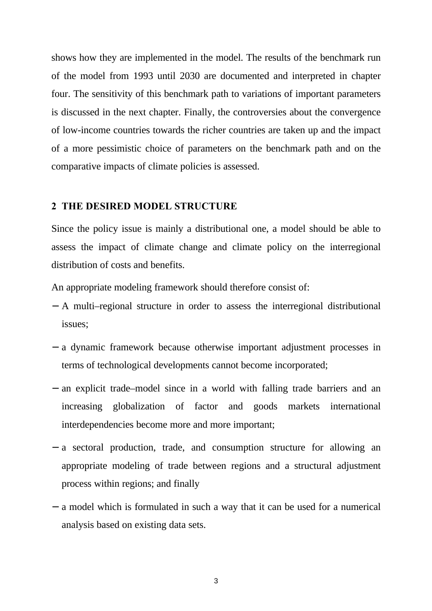shows how they are implemented in the model. The results of the benchmark run of the model from 1993 until 2030 are documented and interpreted in chapter four. The sensitivity of this benchmark path to variations of important parameters is discussed in the next chapter. Finally, the controversies about the convergence of low-income countries towards the richer countries are taken up and the impact of a more pessimistic choice of parameters on the benchmark path and on the comparative impacts of climate policies is assessed.

### **2 THE DESIRED MODEL STRUCTURE**

Since the policy issue is mainly a distributional one, a model should be able to assess the impact of climate change and climate policy on the interregional distribution of costs and benefits.

An appropriate modeling framework should therefore consist of:

- − A multi–regional structure in order to assess the interregional distributional issues;
- − a dynamic framework because otherwise important adjustment processes in terms of technological developments cannot become incorporated;
- − an explicit trade–model since in a world with falling trade barriers and an increasing globalization of factor and goods markets international interdependencies become more and more important;
- − a sectoral production, trade, and consumption structure for allowing an appropriate modeling of trade between regions and a structural adjustment process within regions; and finally
- − a model which is formulated in such a way that it can be used for a numerical analysis based on existing data sets.

3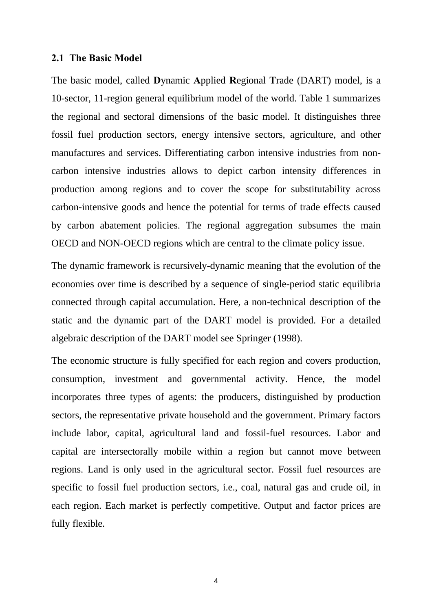#### **2.1 The Basic Model**

The basic model, called **D**ynamic **A**pplied **R**egional **T**rade (DART) model, is a 10-sector, 11-region general equilibrium model of the world. Table 1 summarizes the regional and sectoral dimensions of the basic model. It distinguishes three fossil fuel production sectors, energy intensive sectors, agriculture, and other manufactures and services. Differentiating carbon intensive industries from noncarbon intensive industries allows to depict carbon intensity differences in production among regions and to cover the scope for substitutability across carbon-intensive goods and hence the potential for terms of trade effects caused by carbon abatement policies. The regional aggregation subsumes the main OECD and NON-OECD regions which are central to the climate policy issue.

The dynamic framework is recursively-dynamic meaning that the evolution of the economies over time is described by a sequence of single-period static equilibria connected through capital accumulation. Here, a non-technical description of the static and the dynamic part of the DART model is provided. For a detailed algebraic description of the DART model see Springer (1998).

The economic structure is fully specified for each region and covers production, consumption, investment and governmental activity. Hence, the model incorporates three types of agents: the producers, distinguished by production sectors, the representative private household and the government. Primary factors include labor, capital, agricultural land and fossil-fuel resources. Labor and capital are intersectorally mobile within a region but cannot move between regions. Land is only used in the agricultural sector. Fossil fuel resources are specific to fossil fuel production sectors, i.e., coal, natural gas and crude oil, in each region. Each market is perfectly competitive. Output and factor prices are fully flexible.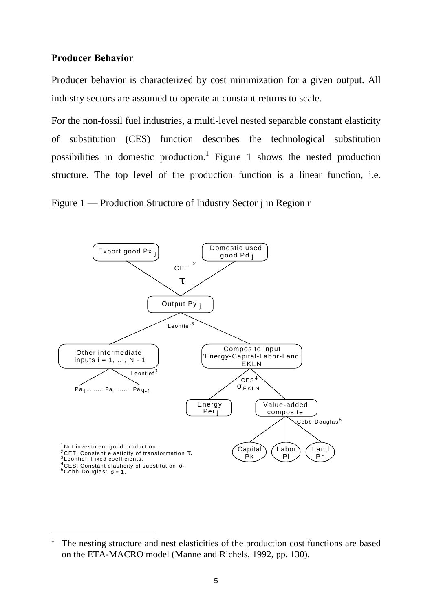### **Producer Behavior**

-

Producer behavior is characterized by cost minimization for a given output. All industry sectors are assumed to operate at constant returns to scale.

For the non-fossil fuel industries, a multi-level nested separable constant elasticity of substitution (CES) function describes the technological substitution possibilities in domestic production.<sup>1</sup> Figure 1 shows the nested production structure. The top level of the production function is a linear function, i.e.

Figure 1 — Production Structure of Industry Sector j in Region r



<sup>1</sup> The nesting structure and nest elasticities of the production cost functions are based on the ETA-MACRO model (Manne and Richels, 1992, pp. 130).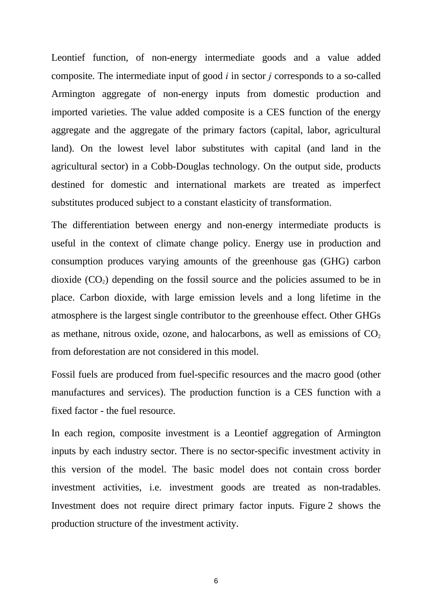Leontief function, of non-energy intermediate goods and a value added composite. The intermediate input of good *i* in sector *j* corresponds to a so-called Armington aggregate of non-energy inputs from domestic production and imported varieties. The value added composite is a CES function of the energy aggregate and the aggregate of the primary factors (capital, labor, agricultural land). On the lowest level labor substitutes with capital (and land in the agricultural sector) in a Cobb-Douglas technology. On the output side, products destined for domestic and international markets are treated as imperfect substitutes produced subject to a constant elasticity of transformation.

The differentiation between energy and non-energy intermediate products is useful in the context of climate change policy. Energy use in production and consumption produces varying amounts of the greenhouse gas (GHG) carbon dioxide  $(CO_2)$  depending on the fossil source and the policies assumed to be in place. Carbon dioxide, with large emission levels and a long lifetime in the atmosphere is the largest single contributor to the greenhouse effect. Other GHGs as methane, nitrous oxide, ozone, and halocarbons, as well as emissions of  $CO<sub>2</sub>$ from deforestation are not considered in this model.

Fossil fuels are produced from fuel-specific resources and the macro good (other manufactures and services). The production function is a CES function with a fixed factor - the fuel resource.

In each region, composite investment is a Leontief aggregation of Armington inputs by each industry sector. There is no sector-specific investment activity in this version of the model. The basic model does not contain cross border investment activities, i.e. investment goods are treated as non-tradables. Investment does not require direct primary factor inputs. Figure 2 shows the production structure of the investment activity.

6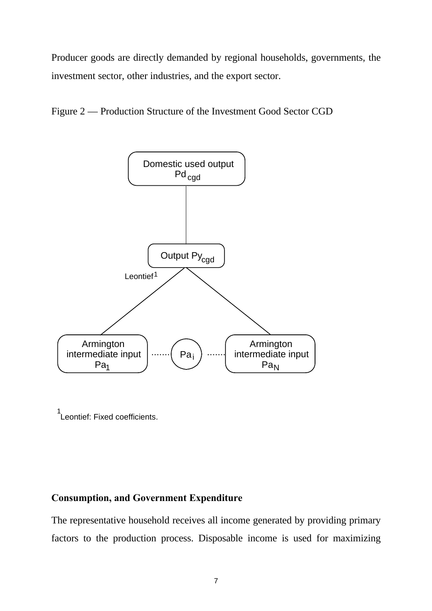Producer goods are directly demanded by regional households, governments, the investment sector, other industries, and the export sector.

Figure 2 — Production Structure of the Investment Good Sector CGD



1 Leontief: Fixed coefficients.

# **Consumption, and Government Expenditure**

The representative household receives all income generated by providing primary factors to the production process. Disposable income is used for maximizing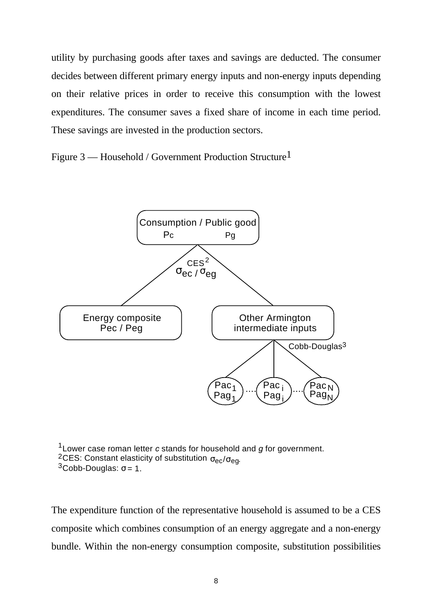utility by purchasing goods after taxes and savings are deducted. The consumer decides between different primary energy inputs and non-energy inputs depending on their relative prices in order to receive this consumption with the lowest expenditures. The consumer saves a fixed share of income in each time period. These savings are invested in the production sectors.

Figure 3 — Household / Government Production Structure<sup>1</sup>



1 Lower case roman letter *c* stands for household and *g* for government. <sup>2</sup>CES: Constant elasticity of substitution  $\sigma_{ec}/\sigma_{eq}$ .  $3$ Cobb-Douglas: σ = 1.

The expenditure function of the representative household is assumed to be a CES composite which combines consumption of an energy aggregate and a non-energy bundle. Within the non-energy consumption composite, substitution possibilities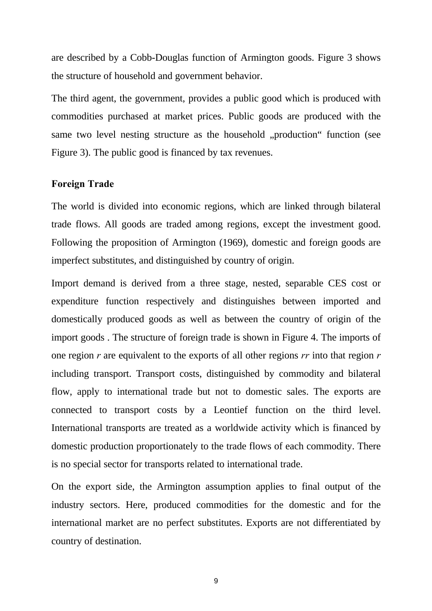are described by a Cobb-Douglas function of Armington goods. Figure 3 shows the structure of household and government behavior.

The third agent, the government, provides a public good which is produced with commodities purchased at market prices. Public goods are produced with the same two level nesting structure as the household "production" function (see Figure 3). The public good is financed by tax revenues.

### **Foreign Trade**

The world is divided into economic regions, which are linked through bilateral trade flows. All goods are traded among regions, except the investment good. Following the proposition of Armington (1969), domestic and foreign goods are imperfect substitutes, and distinguished by country of origin.

Import demand is derived from a three stage, nested, separable CES cost or expenditure function respectively and distinguishes between imported and domestically produced goods as well as between the country of origin of the import goods . The structure of foreign trade is shown in Figure 4. The imports of one region *r* are equivalent to the exports of all other regions *rr* into that region *r* including transport. Transport costs, distinguished by commodity and bilateral flow, apply to international trade but not to domestic sales. The exports are connected to transport costs by a Leontief function on the third level. International transports are treated as a worldwide activity which is financed by domestic production proportionately to the trade flows of each commodity. There is no special sector for transports related to international trade.

On the export side, the Armington assumption applies to final output of the industry sectors. Here, produced commodities for the domestic and for the international market are no perfect substitutes. Exports are not differentiated by country of destination.

9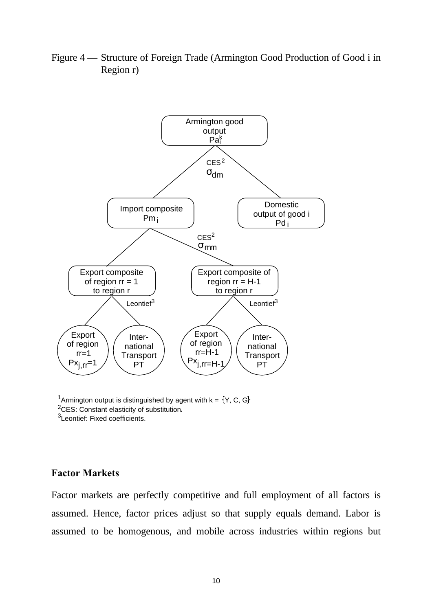

region  $rr = H-1$ to region r

> International **Transport** PT

Leontief $3$ 

**Export** of region rr=H-1  $Px_{j,rr=H-1}$ 

Figure 4 — Structure of Foreign Trade (Armington Good Production of Good i in Region r)

<sup>1</sup>Armington output is distinguished by agent with  $k = \{Y, C, G\}$ <sup>2</sup>CES: Constant elasticity of substitution.

Leontief $3$ 

International **Transport** PT

of region  $rr = 1$ to region r

<sup>3</sup>Leontief: Fixed coefficients.

### **Factor Markets**

Export of region rr=1  $Px_{j,rr}=1$ 

Factor markets are perfectly competitive and full employment of all factors is assumed. Hence, factor prices adjust so that supply equals demand. Labor is assumed to be homogenous, and mobile across industries within regions but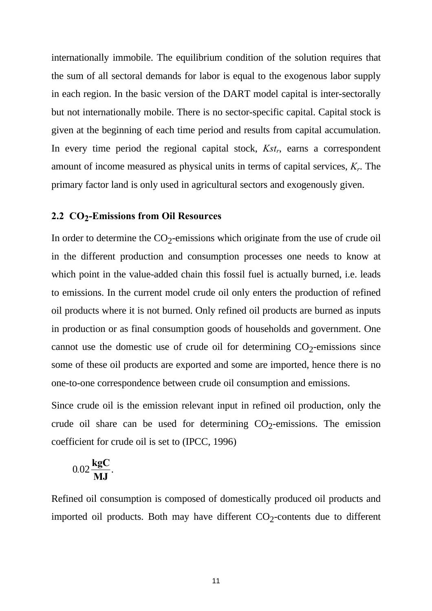internationally immobile. The equilibrium condition of the solution requires that the sum of all sectoral demands for labor is equal to the exogenous labor supply in each region. In the basic version of the DART model capital is inter-sectorally but not internationally mobile. There is no sector-specific capital. Capital stock is given at the beginning of each time period and results from capital accumulation. In every time period the regional capital stock, *Kst<sup>r</sup>* , earns a correspondent amount of income measured as physical units in terms of capital services, *K<sup>r</sup>* . The primary factor land is only used in agricultural sectors and exogenously given.

# **2.2 CO2 -Emissions from Oil Resources**

In order to determine the  $CO_2$ -emissions which originate from the use of crude oil in the different production and consumption processes one needs to know at which point in the value-added chain this fossil fuel is actually burned, i.e. leads to emissions. In the current model crude oil only enters the production of refined oil products where it is not burned. Only refined oil products are burned as inputs in production or as final consumption goods of households and government. One cannot use the domestic use of crude oil for determining  $CO<sub>2</sub>$ -emissions since some of these oil products are exported and some are imported, hence there is no one-to-one correspondence between crude oil consumption and emissions.

Since crude oil is the emission relevant input in refined oil production, only the crude oil share can be used for determining  $CO<sub>2</sub>$ -emissions. The emission coefficient for crude oil is set to (IPCC, 1996)

$$
0.02\frac{\text{kgC}}{\text{MJ}}.
$$

Refined oil consumption is composed of domestically produced oil products and imported oil products. Both may have different  $CO_2$ -contents due to different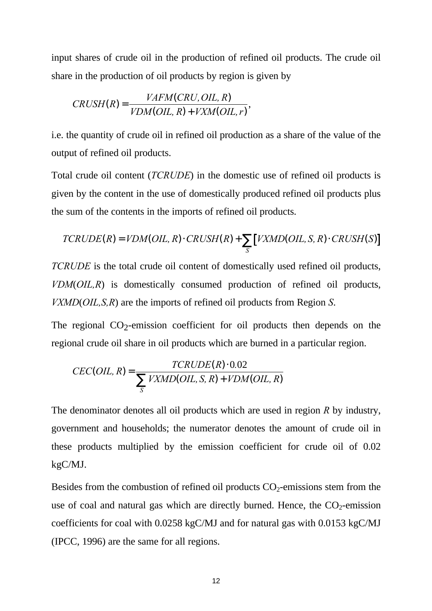input shares of crude oil in the production of refined oil products. The crude oil share in the production of oil products by region is given by

$$
CRUSH(R) = \frac{VAFM(CRU, OIL, R)}{VDM(OIL, R) + VXM(OIL, r)},
$$

i.e. the quantity of crude oil in refined oil production as a share of the value of the output of refined oil products.

Total crude oil content (*TCRUDE*) in the domestic use of refined oil products is given by the content in the use of domestically produced refined oil products plus the sum of the contents in the imports of refined oil products.

$$
TCRUDE(R) = VDM(OIL, R) \cdot CRUSH(R) + \sum_{S} \left[ VXMD(OIL, S, R) \cdot CRUSH(S) \right]
$$

*TCRUDE* is the total crude oil content of domestically used refined oil products, *VDM*(*OIL,R*) is domestically consumed production of refined oil products, *VXMD*(*OIL,S,R*) are the imports of refined oil products from Region *S*.

The regional  $CO_2$ -emission coefficient for oil products then depends on the regional crude oil share in oil products which are burned in a particular region.

$$
CEC(OIL, R) = \frac{TCRUDE(R) \cdot 0.02}{\sum_{S} VXMD(OIL, S, R) + VDM(OIL, R)}
$$

The denominator denotes all oil products which are used in region *R* by industry, government and households; the numerator denotes the amount of crude oil in these products multiplied by the emission coefficient for crude oil of 0.02 kgC/MJ.

Besides from the combustion of refined oil products  $CO<sub>2</sub>$ -emissions stem from the use of coal and natural gas which are directly burned. Hence, the  $CO<sub>2</sub>$ -emission coefficients for coal with 0.0258 kgC/MJ and for natural gas with 0.0153 kgC/MJ (IPCC, 1996) are the same for all regions.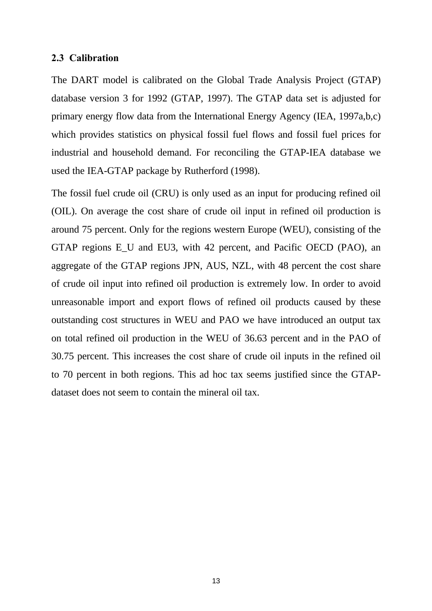### **2.3 Calibration**

The DART model is calibrated on the Global Trade Analysis Project (GTAP) database version 3 for 1992 (GTAP, 1997). The GTAP data set is adjusted for primary energy flow data from the International Energy Agency (IEA, 1997a,b,c) which provides statistics on physical fossil fuel flows and fossil fuel prices for industrial and household demand. For reconciling the GTAP-IEA database we used the IEA-GTAP package by Rutherford (1998).

The fossil fuel crude oil (CRU) is only used as an input for producing refined oil (OIL). On average the cost share of crude oil input in refined oil production is around 75 percent. Only for the regions western Europe (WEU), consisting of the GTAP regions E\_U and EU3, with 42 percent, and Pacific OECD (PAO), an aggregate of the GTAP regions JPN, AUS, NZL, with 48 percent the cost share of crude oil input into refined oil production is extremely low. In order to avoid unreasonable import and export flows of refined oil products caused by these outstanding cost structures in WEU and PAO we have introduced an output tax on total refined oil production in the WEU of 36.63 percent and in the PAO of 30.75 percent. This increases the cost share of crude oil inputs in the refined oil to 70 percent in both regions. This ad hoc tax seems justified since the GTAPdataset does not seem to contain the mineral oil tax.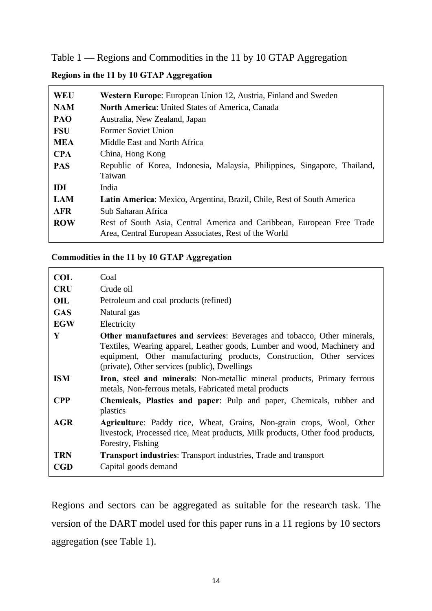Table 1 — Regions and Commodities in the 11 by 10 GTAP Aggregation

# **Regions in the 11 by 10 GTAP Aggregation**

| <b>WEU</b> | <b>Western Europe:</b> European Union 12, Austria, Finland and Sweden                                                          |  |  |  |  |
|------------|--------------------------------------------------------------------------------------------------------------------------------|--|--|--|--|
| <b>NAM</b> | <b>North America: United States of America, Canada</b>                                                                         |  |  |  |  |
| PAO        | Australia, New Zealand, Japan                                                                                                  |  |  |  |  |
| <b>FSU</b> | <b>Former Soviet Union</b>                                                                                                     |  |  |  |  |
| <b>MEA</b> | Middle East and North Africa                                                                                                   |  |  |  |  |
| <b>CPA</b> | China, Hong Kong                                                                                                               |  |  |  |  |
| <b>PAS</b> | Republic of Korea, Indonesia, Malaysia, Philippines, Singapore, Thailand,<br>Taiwan                                            |  |  |  |  |
| <b>IDI</b> | India                                                                                                                          |  |  |  |  |
| <b>LAM</b> | Latin America: Mexico, Argentina, Brazil, Chile, Rest of South America                                                         |  |  |  |  |
| <b>AFR</b> | Sub Saharan Africa                                                                                                             |  |  |  |  |
| <b>ROW</b> | Rest of South Asia, Central America and Caribbean, European Free Trade<br>Area, Central European Associates, Rest of the World |  |  |  |  |

### **Commodities in the 11 by 10 GTAP Aggregation**

| <b>COL</b> | Coal                                                                                                                                                                                                                                                                                 |
|------------|--------------------------------------------------------------------------------------------------------------------------------------------------------------------------------------------------------------------------------------------------------------------------------------|
| <b>CRU</b> | Crude oil                                                                                                                                                                                                                                                                            |
| OIL        | Petroleum and coal products (refined)                                                                                                                                                                                                                                                |
| <b>GAS</b> | Natural gas                                                                                                                                                                                                                                                                          |
| <b>EGW</b> | Electricity                                                                                                                                                                                                                                                                          |
| Y          | <b>Other manufactures and services:</b> Beverages and tobacco, Other minerals,<br>Textiles, Wearing apparel, Leather goods, Lumber and wood, Machinery and<br>equipment, Other manufacturing products, Construction, Other services<br>(private), Other services (public), Dwellings |
| <b>ISM</b> | Iron, steel and minerals: Non-metallic mineral products, Primary ferrous<br>metals, Non-ferrous metals, Fabricated metal products                                                                                                                                                    |
| <b>CPP</b> | Chemicals, Plastics and paper: Pulp and paper, Chemicals, rubber and<br>plastics                                                                                                                                                                                                     |
| <b>AGR</b> | Agriculture: Paddy rice, Wheat, Grains, Non-grain crops, Wool, Other<br>livestock, Processed rice, Meat products, Milk products, Other food products,<br>Forestry, Fishing                                                                                                           |
| <b>TRN</b> | <b>Transport industries:</b> Transport industries, Trade and transport                                                                                                                                                                                                               |
| <b>CGD</b> | Capital goods demand                                                                                                                                                                                                                                                                 |

Regions and sectors can be aggregated as suitable for the research task. The version of the DART model used for this paper runs in a 11 regions by 10 sectors aggregation (see Table 1).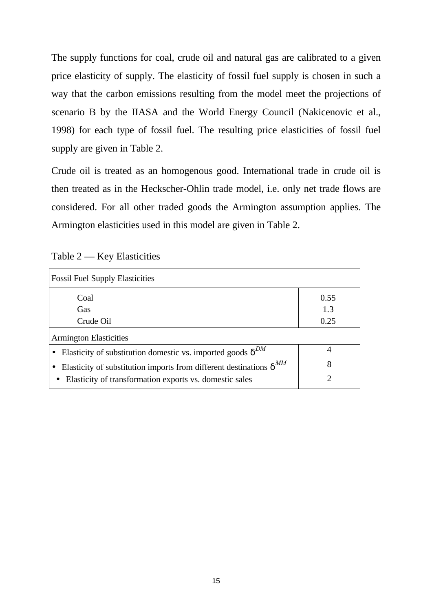The supply functions for coal, crude oil and natural gas are calibrated to a given price elasticity of supply. The elasticity of fossil fuel supply is chosen in such a way that the carbon emissions resulting from the model meet the projections of scenario B by the IIASA and the World Energy Council (Nakicenovic et al., 1998) for each type of fossil fuel. The resulting price elasticities of fossil fuel supply are given in Table 2.

Crude oil is treated as an homogenous good. International trade in crude oil is then treated as in the Heckscher-Ohlin trade model, i.e. only net trade flows are considered. For all other traded goods the Armington assumption applies. The Armington elasticities used in this model are given in Table 2.

| Table 2 |  |  | <b>Key Elasticities</b> |
|---------|--|--|-------------------------|
|---------|--|--|-------------------------|

| <b>Fossil Fuel Supply Elasticities</b>                                       |               |
|------------------------------------------------------------------------------|---------------|
| Coal                                                                         | 0.55          |
| Gas                                                                          | 1.3           |
| Crude Oil                                                                    | 0.25          |
| <b>Armington Elasticities</b>                                                |               |
| Elasticity of substitution domestic vs. imported goods $\delta^{DM}$         | 4             |
| Elasticity of substitution imports from different destinations $\delta^{MM}$ | 8             |
| Elasticity of transformation exports vs. domestic sales                      | $\mathcal{D}$ |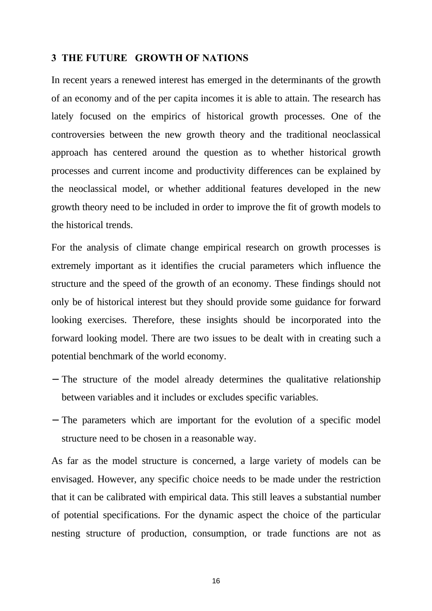### **3 THE FUTURE GROWTH OF NATIONS**

In recent years a renewed interest has emerged in the determinants of the growth of an economy and of the per capita incomes it is able to attain. The research has lately focused on the empirics of historical growth processes. One of the controversies between the new growth theory and the traditional neoclassical approach has centered around the question as to whether historical growth processes and current income and productivity differences can be explained by the neoclassical model, or whether additional features developed in the new growth theory need to be included in order to improve the fit of growth models to the historical trends.

For the analysis of climate change empirical research on growth processes is extremely important as it identifies the crucial parameters which influence the structure and the speed of the growth of an economy. These findings should not only be of historical interest but they should provide some guidance for forward looking exercises. Therefore, these insights should be incorporated into the forward looking model. There are two issues to be dealt with in creating such a potential benchmark of the world economy.

- − The structure of the model already determines the qualitative relationship between variables and it includes or excludes specific variables.
- − The parameters which are important for the evolution of a specific model structure need to be chosen in a reasonable way.

As far as the model structure is concerned, a large variety of models can be envisaged. However, any specific choice needs to be made under the restriction that it can be calibrated with empirical data. This still leaves a substantial number of potential specifications. For the dynamic aspect the choice of the particular nesting structure of production, consumption, or trade functions are not as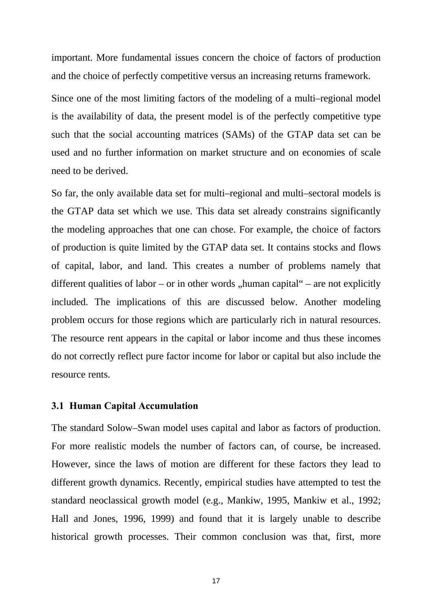important. More fundamental issues concern the choice of factors of production and the choice of perfectly competitive versus an increasing returns framework.

Since one of the most limiting factors of the modeling of a multi–regional model is the availability of data, the present model is of the perfectly competitive type such that the social accounting matrices (SAMs) of the GTAP data set can be used and no further information on market structure and on economies of scale need to be derived.

So far, the only available data set for multi–regional and multi–sectoral models is the GTAP data set which we use. This data set already constrains significantly the modeling approaches that one can chose. For example, the choice of factors of production is quite limited by the GTAP data set. It contains stocks and flows of capital, labor, and land. This creates a number of problems namely that different qualities of labor – or in other words "human capital" – are not explicitly included. The implications of this are discussed below. Another modeling problem occurs for those regions which are particularly rich in natural resources. The resource rent appears in the capital or labor income and thus these incomes do not correctly reflect pure factor income for labor or capital but also include the resource rents.

### **3.1 Human Capital Accumulation**

The standard Solow–Swan model uses capital and labor as factors of production. For more realistic models the number of factors can, of course, be increased. However, since the laws of motion are different for these factors they lead to different growth dynamics. Recently, empirical studies have attempted to test the standard neoclassical growth model (e.g., Mankiw, 1995, Mankiw et al., 1992; Hall and Jones, 1996, 1999) and found that it is largely unable to describe historical growth processes. Their common conclusion was that, first, more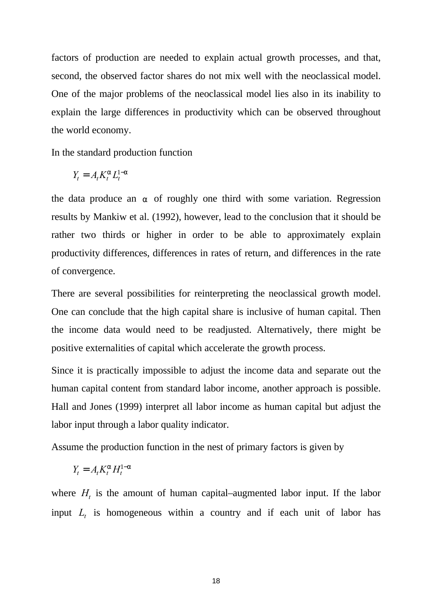factors of production are needed to explain actual growth processes, and that, second, the observed factor shares do not mix well with the neoclassical model. One of the major problems of the neoclassical model lies also in its inability to explain the large differences in productivity which can be observed throughout the world economy.

In the standard production function

$$
Y_t = A_t K_t^a L_t^{1-a}
$$

the data produce an  $\alpha$  of roughly one third with some variation. Regression results by Mankiw et al. (1992), however, lead to the conclusion that it should be rather two thirds or higher in order to be able to approximately explain productivity differences, differences in rates of return, and differences in the rate of convergence.

There are several possibilities for reinterpreting the neoclassical growth model. One can conclude that the high capital share is inclusive of human capital. Then the income data would need to be readjusted. Alternatively, there might be positive externalities of capital which accelerate the growth process.

Since it is practically impossible to adjust the income data and separate out the human capital content from standard labor income, another approach is possible. Hall and Jones (1999) interpret all labor income as human capital but adjust the labor input through a labor quality indicator.

Assume the production function in the nest of primary factors is given by

$$
Y_t = A_t K_t^a H_t^{1-a}
$$

where  $H_t$  is the amount of human capital–augmented labor input. If the labor input  $L_t$  is homogeneous within a country and if each unit of labor has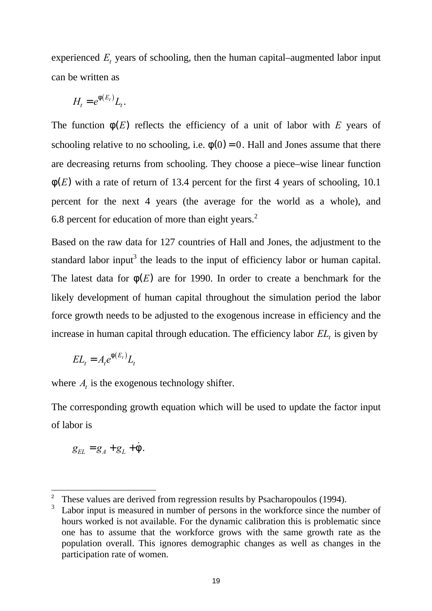experienced *E<sup>t</sup>* years of schooling, then the human capital–augmented labor input can be written as

$$
H_t = e^{\mathbf{f}(E_t)} L_t.
$$

The function  $f(E)$  reflects the efficiency of a unit of labor with  $E$  years of schooling relative to no schooling, i.e.  $f(0) = 0$ . Hall and Jones assume that there are decreasing returns from schooling. They choose a piece–wise linear function *f* (*E*) with a rate of return of 13.4 percent for the first 4 years of schooling, 10.1 percent for the next 4 years (the average for the world as a whole), and 6.8 percent for education of more than eight years.<sup>2</sup>

Based on the raw data for 127 countries of Hall and Jones, the adjustment to the standard labor input<sup>3</sup> the leads to the input of efficiency labor or human capital. The latest data for  $f(E)$  are for 1990. In order to create a benchmark for the likely development of human capital throughout the simulation period the labor force growth needs to be adjusted to the exogenous increase in efficiency and the increase in human capital through education. The efficiency labor *EL<sup>t</sup>* is given by

$$
EL_t = A_t e^{f(E_t)} L_t
$$

where  $A_t$  is the exogenous technology shifter.

The corresponding growth equation which will be used to update the factor input of labor is

$$
g_{EL} = g_A + g_L + \dot{f}.
$$

-

<sup>2</sup> These values are derived from regression results by Psacharopoulos (1994).

<sup>3</sup> Labor input is measured in number of persons in the workforce since the number of hours worked is not available. For the dynamic calibration this is problematic since one has to assume that the workforce grows with the same growth rate as the population overall. This ignores demographic changes as well as changes in the participation rate of women.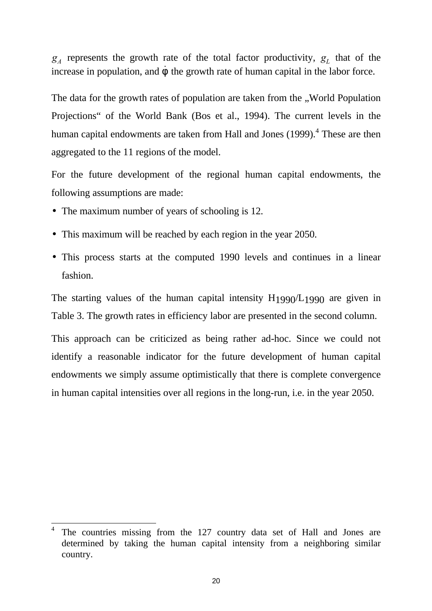*gA* represents the growth rate of the total factor productivity, *g<sup>L</sup>* that of the increase in population, and  $\dot{f}$  the growth rate of human capital in the labor force.

The data for the growth rates of population are taken from the ..World Population Projections" of the World Bank (Bos et al., 1994). The current levels in the human capital endowments are taken from Hall and Jones (1999).<sup>4</sup> These are then aggregated to the 11 regions of the model.

For the future development of the regional human capital endowments, the following assumptions are made:

• The maximum number of years of schooling is 12.

-

- This maximum will be reached by each region in the year 2050.
- This process starts at the computed 1990 levels and continues in a linear fashion.

The starting values of the human capital intensity  $H_1990/L_1990$  are given in Table 3. The growth rates in efficiency labor are presented in the second column.

This approach can be criticized as being rather ad-hoc. Since we could not identify a reasonable indicator for the future development of human capital endowments we simply assume optimistically that there is complete convergence in human capital intensities over all regions in the long-run, i.e. in the year 2050.

<sup>4</sup> The countries missing from the 127 country data set of Hall and Jones are determined by taking the human capital intensity from a neighboring similar country.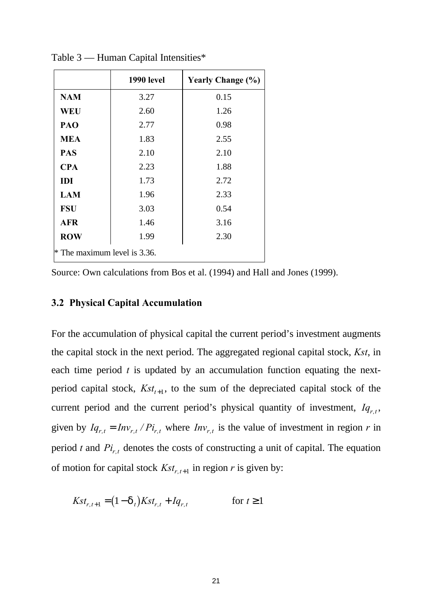|                              | 1990 level | <b>Yearly Change (%)</b> |  |  |
|------------------------------|------------|--------------------------|--|--|
| <b>NAM</b>                   | 3.27       | 0.15                     |  |  |
| <b>WEU</b>                   | 2.60       | 1.26                     |  |  |
| PAO                          | 2.77       | 0.98                     |  |  |
| <b>MEA</b>                   | 1.83       | 2.55                     |  |  |
| <b>PAS</b>                   | 2.10       | 2.10                     |  |  |
| <b>CPA</b>                   | 2.23       | 1.88                     |  |  |
| <b>IDI</b>                   | 1.73       | 2.72                     |  |  |
| <b>LAM</b>                   | 1.96       | 2.33                     |  |  |
| <b>FSU</b>                   | 3.03       | 0.54                     |  |  |
| <b>AFR</b>                   | 1.46       | 3.16                     |  |  |
| <b>ROW</b>                   | 1.99       | 2.30                     |  |  |
| * The maximum level is 3.36. |            |                          |  |  |

Table 3 — Human Capital Intensities\*

Source: Own calculations from Bos et al. (1994) and Hall and Jones (1999).

# **3.2 Physical Capital Accumulation**

For the accumulation of physical capital the current period's investment augments the capital stock in the next period. The aggregated regional capital stock, *Kst*, in each time period *t* is updated by an accumulation function equating the nextperiod capital stock,  $Kst_{t+1}$ , to the sum of the depreciated capital stock of the current period and the current period's physical quantity of investment,  $Iq_{r,t}$ , given by  $Iq_{r,t} = Inv_{r,t}/Pi_{r,t}$  where  $Inv_{r,t}$  is the value of investment in region *r* in period *t* and  $Pi_{r,t}$  denotes the costs of constructing a unit of capital. The equation of motion for capital stock  $Kst_{r,t+1}$  in region *r* is given by:

$$
Kst_{r,t+1} = (1 - d_t)Kst_{r,t} + Iq_{r,t}
$$
 for  $t \ge 1$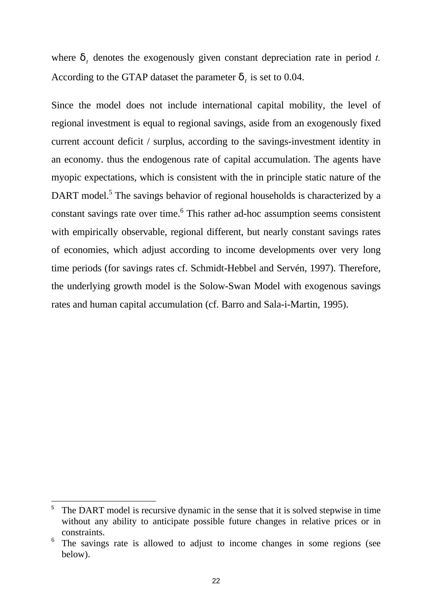where  $d_t$  denotes the exogenously given constant depreciation rate in period *t*. According to the GTAP dataset the parameter  $d_t$  is set to 0.04.

Since the model does not include international capital mobility, the level of regional investment is equal to regional savings, aside from an exogenously fixed current account deficit / surplus, according to the savings-investment identity in an economy. thus the endogenous rate of capital accumulation. The agents have myopic expectations, which is consistent with the in principle static nature of the DART model.<sup>5</sup> The savings behavior of regional households is characterized by a constant savings rate over time.<sup>6</sup> This rather ad-hoc assumption seems consistent with empirically observable, regional different, but nearly constant savings rates of economies, which adjust according to income developments over very long time periods (for savings rates cf. Schmidt-Hebbel and Servén, 1997). Therefore, the underlying growth model is the Solow-Swan Model with exogenous savings rates and human capital accumulation (cf. Barro and Sala-i-Martin, 1995).

-

<sup>5</sup> The DART model is recursive dynamic in the sense that it is solved stepwise in time without any ability to anticipate possible future changes in relative prices or in constraints.

<sup>6</sup> The savings rate is allowed to adjust to income changes in some regions (see below).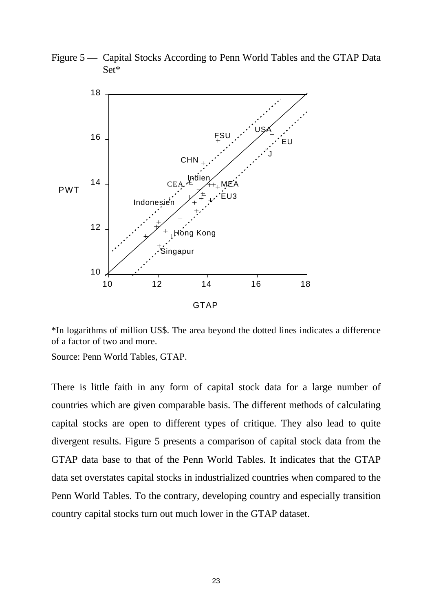Figure 5 — Capital Stocks According to Penn World Tables and the GTAP Data Set\*



\*In logarithms of million US\$. The area beyond the dotted lines indicates a difference of a factor of two and more.

Source: Penn World Tables, GTAP.

There is little faith in any form of capital stock data for a large number of countries which are given comparable basis. The different methods of calculating capital stocks are open to different types of critique. They also lead to quite divergent results. Figure 5 presents a comparison of capital stock data from the GTAP data base to that of the Penn World Tables. It indicates that the GTAP data set overstates capital stocks in industrialized countries when compared to the Penn World Tables. To the contrary, developing country and especially transition country capital stocks turn out much lower in the GTAP dataset.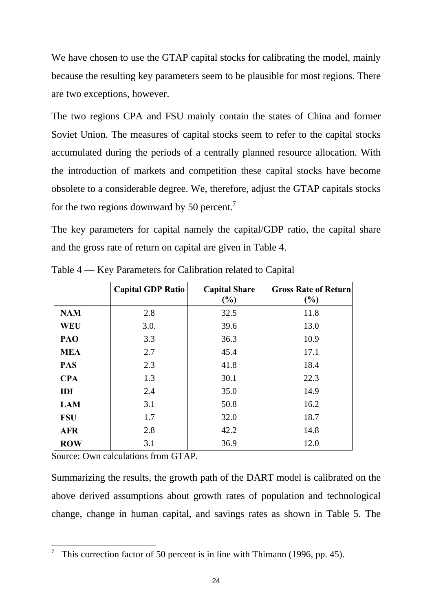We have chosen to use the GTAP capital stocks for calibrating the model, mainly because the resulting key parameters seem to be plausible for most regions. There are two exceptions, however.

The two regions CPA and FSU mainly contain the states of China and former Soviet Union. The measures of capital stocks seem to refer to the capital stocks accumulated during the periods of a centrally planned resource allocation. With the introduction of markets and competition these capital stocks have become obsolete to a considerable degree. We, therefore, adjust the GTAP capitals stocks for the two regions downward by 50 percent.<sup>7</sup>

The key parameters for capital namely the capital/GDP ratio, the capital share and the gross rate of return on capital are given in Table 4.

|            | <b>Capital GDP Ratio</b> | <b>Capital Share</b><br>$(\%)$ | <b>Gross Rate of Return</b><br>(%) |
|------------|--------------------------|--------------------------------|------------------------------------|
| <b>NAM</b> | 2.8                      | 32.5                           | 11.8                               |
| <b>WEU</b> | 3.0.                     | 39.6                           | 13.0                               |
| PAO        | 3.3                      | 36.3                           | 10.9                               |
| <b>MEA</b> | 2.7                      | 45.4                           | 17.1                               |
| <b>PAS</b> | 2.3                      | 41.8                           | 18.4                               |
| <b>CPA</b> | 1.3                      | 30.1                           | 22.3                               |
| IDI        | 2.4                      | 35.0                           | 14.9                               |
| <b>LAM</b> | 3.1                      | 50.8                           | 16.2                               |
| <b>FSU</b> | 1.7                      | 32.0                           | 18.7                               |
| <b>AFR</b> | 2.8                      | 42.2                           | 14.8                               |
| <b>ROW</b> | 3.1                      | 36.9                           | 12.0                               |

Table 4 — Key Parameters for Calibration related to Capital

Source: Own calculations from GTAP.

-

Summarizing the results, the growth path of the DART model is calibrated on the above derived assumptions about growth rates of population and technological change, change in human capital, and savings rates as shown in Table 5. The

<sup>7</sup> This correction factor of 50 percent is in line with Thimann (1996, pp. 45).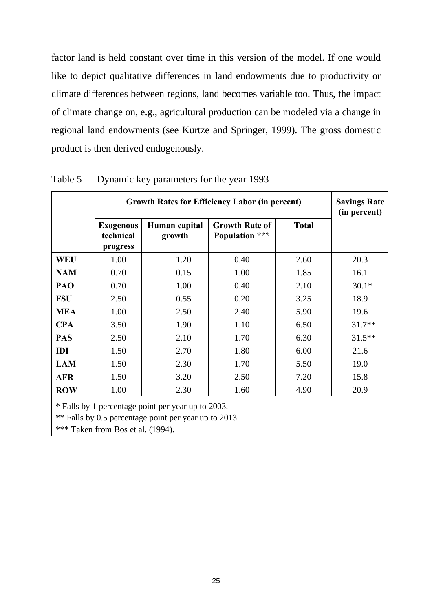factor land is held constant over time in this version of the model. If one would like to depict qualitative differences in land endowments due to productivity or climate differences between regions, land becomes variable too. Thus, the impact of climate change on, e.g., agricultural production can be modeled via a change in regional land endowments (see Kurtze and Springer, 1999). The gross domestic product is then derived endogenously.

|                                                                                                                                                  | <b>Growth Rates for Efficiency Labor (in percent)</b> |                         |                                         |              | <b>Savings Rate</b><br>(in percent) |
|--------------------------------------------------------------------------------------------------------------------------------------------------|-------------------------------------------------------|-------------------------|-----------------------------------------|--------------|-------------------------------------|
|                                                                                                                                                  | <b>Exogenous</b><br>technical<br>progress             | Human capital<br>growth | <b>Growth Rate of</b><br>Population *** | <b>Total</b> |                                     |
| <b>WEU</b>                                                                                                                                       | 1.00                                                  | 1.20                    | 0.40                                    | 2.60         | 20.3                                |
| <b>NAM</b>                                                                                                                                       | 0.70                                                  | 0.15                    | 1.00                                    | 1.85         | 16.1                                |
| PAO                                                                                                                                              | 0.70                                                  | 1.00                    | 0.40                                    | 2.10         | $30.1*$                             |
| <b>FSU</b>                                                                                                                                       | 2.50                                                  | 0.55                    | 0.20                                    | 3.25         | 18.9                                |
| <b>MEA</b>                                                                                                                                       | 1.00                                                  | 2.50                    | 2.40                                    | 5.90         | 19.6                                |
| <b>CPA</b>                                                                                                                                       | 3.50                                                  | 1.90                    | 1.10                                    | 6.50         | $31.7**$                            |
| <b>PAS</b>                                                                                                                                       | 2.50                                                  | 2.10                    | 1.70                                    | 6.30         | $31.5**$                            |
| IDI                                                                                                                                              | 1.50                                                  | 2.70                    | 1.80                                    | 6.00         | 21.6                                |
| <b>LAM</b>                                                                                                                                       | 1.50                                                  | 2.30                    | 1.70                                    | 5.50         | 19.0                                |
| <b>AFR</b>                                                                                                                                       | 1.50                                                  | 3.20                    | 2.50                                    | 7.20         | 15.8                                |
| <b>ROW</b>                                                                                                                                       | 1.00                                                  | 2.30                    | 1.60                                    | 4.90         | 20.9                                |
| * Falls by 1 percentage point per year up to 2003.<br>** Falls by 0.5 percentage point per year up to 2013.<br>*** Taken from Bos et al. (1994). |                                                       |                         |                                         |              |                                     |

Table 5 — Dynamic key parameters for the year 1993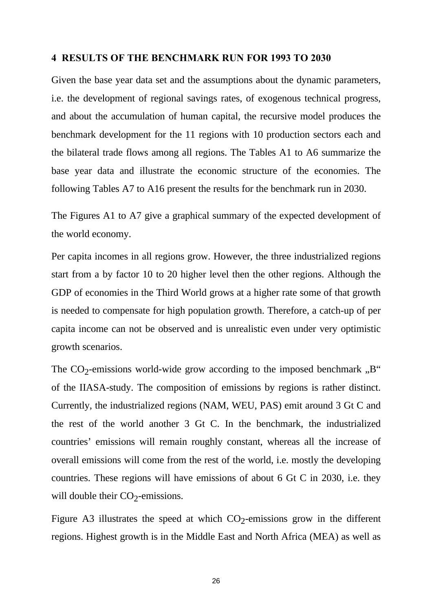### **4 RESULTS OF THE BENCHMARK RUN FOR 1993 TO 2030**

Given the base year data set and the assumptions about the dynamic parameters, i.e. the development of regional savings rates, of exogenous technical progress, and about the accumulation of human capital, the recursive model produces the benchmark development for the 11 regions with 10 production sectors each and the bilateral trade flows among all regions. The Tables A1 to A6 summarize the base year data and illustrate the economic structure of the economies. The following Tables A7 to A16 present the results for the benchmark run in 2030.

The Figures A1 to A7 give a graphical summary of the expected development of the world economy.

Per capita incomes in all regions grow. However, the three industrialized regions start from a by factor 10 to 20 higher level then the other regions. Although the GDP of economies in the Third World grows at a higher rate some of that growth is needed to compensate for high population growth. Therefore, a catch-up of per capita income can not be observed and is unrealistic even under very optimistic growth scenarios.

The  $CO_2$ -emissions world-wide grow according to the imposed benchmark "B" of the IIASA-study. The composition of emissions by regions is rather distinct. Currently, the industrialized regions (NAM, WEU, PAS) emit around 3 Gt C and the rest of the world another 3 Gt C. In the benchmark, the industrialized countries' emissions will remain roughly constant, whereas all the increase of overall emissions will come from the rest of the world, i.e. mostly the developing countries. These regions will have emissions of about 6 Gt C in 2030, i.e. they will double their  $CO_2$ -emissions.

Figure A3 illustrates the speed at which  $CO_2$ -emissions grow in the different regions. Highest growth is in the Middle East and North Africa (MEA) as well as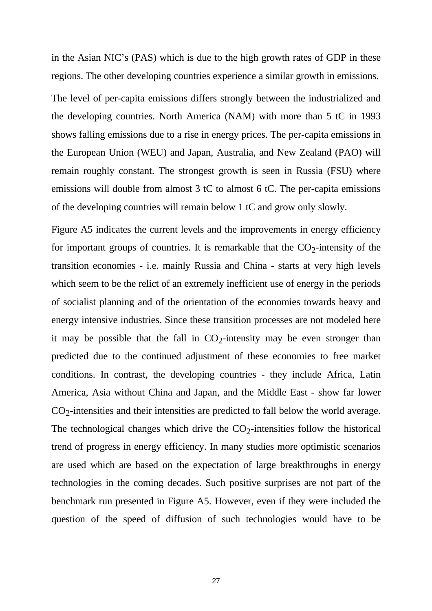in the Asian NIC's (PAS) which is due to the high growth rates of GDP in these regions. The other developing countries experience a similar growth in emissions.

The level of per-capita emissions differs strongly between the industrialized and the developing countries. North America (NAM) with more than 5 tC in 1993 shows falling emissions due to a rise in energy prices. The per-capita emissions in the European Union (WEU) and Japan, Australia, and New Zealand (PAO) will remain roughly constant. The strongest growth is seen in Russia (FSU) where emissions will double from almost 3 tC to almost 6 tC. The per-capita emissions of the developing countries will remain below 1 tC and grow only slowly.

Figure A5 indicates the current levels and the improvements in energy efficiency for important groups of countries. It is remarkable that the  $CO_2$ -intensity of the transition economies - i.e. mainly Russia and China - starts at very high levels which seem to be the relict of an extremely inefficient use of energy in the periods of socialist planning and of the orientation of the economies towards heavy and energy intensive industries. Since these transition processes are not modeled here it may be possible that the fall in  $CO_2$ -intensity may be even stronger than predicted due to the continued adjustment of these economies to free market conditions. In contrast, the developing countries - they include Africa, Latin America, Asia without China and Japan, and the Middle East - show far lower  $CO<sub>2</sub>$ -intensities and their intensities are predicted to fall below the world average. The technological changes which drive the  $CO_2$ -intensities follow the historical trend of progress in energy efficiency. In many studies more optimistic scenarios are used which are based on the expectation of large breakthroughs in energy technologies in the coming decades. Such positive surprises are not part of the benchmark run presented in Figure A5. However, even if they were included the question of the speed of diffusion of such technologies would have to be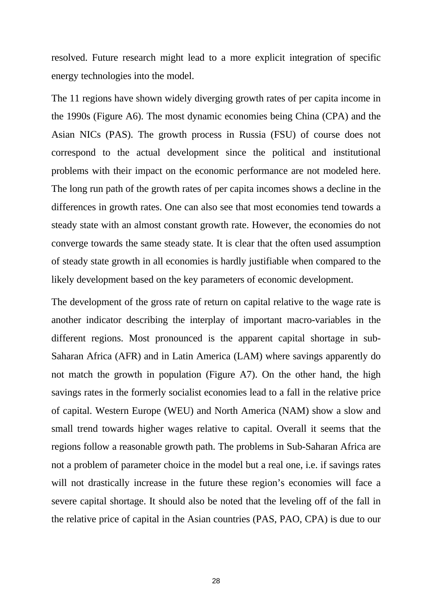resolved. Future research might lead to a more explicit integration of specific energy technologies into the model.

The 11 regions have shown widely diverging growth rates of per capita income in the 1990s (Figure A6). The most dynamic economies being China (CPA) and the Asian NICs (PAS). The growth process in Russia (FSU) of course does not correspond to the actual development since the political and institutional problems with their impact on the economic performance are not modeled here. The long run path of the growth rates of per capita incomes shows a decline in the differences in growth rates. One can also see that most economies tend towards a steady state with an almost constant growth rate. However, the economies do not converge towards the same steady state. It is clear that the often used assumption of steady state growth in all economies is hardly justifiable when compared to the likely development based on the key parameters of economic development.

The development of the gross rate of return on capital relative to the wage rate is another indicator describing the interplay of important macro-variables in the different regions. Most pronounced is the apparent capital shortage in sub-Saharan Africa (AFR) and in Latin America (LAM) where savings apparently do not match the growth in population (Figure A7). On the other hand, the high savings rates in the formerly socialist economies lead to a fall in the relative price of capital. Western Europe (WEU) and North America (NAM) show a slow and small trend towards higher wages relative to capital. Overall it seems that the regions follow a reasonable growth path. The problems in Sub-Saharan Africa are not a problem of parameter choice in the model but a real one, i.e. if savings rates will not drastically increase in the future these region's economies will face a severe capital shortage. It should also be noted that the leveling off of the fall in the relative price of capital in the Asian countries (PAS, PAO, CPA) is due to our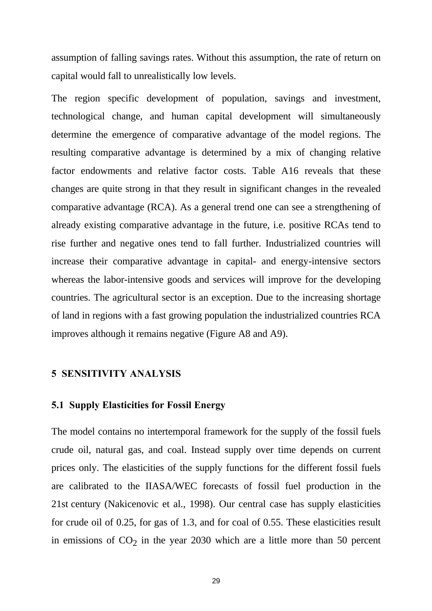assumption of falling savings rates. Without this assumption, the rate of return on capital would fall to unrealistically low levels.

The region specific development of population, savings and investment, technological change, and human capital development will simultaneously determine the emergence of comparative advantage of the model regions. The resulting comparative advantage is determined by a mix of changing relative factor endowments and relative factor costs. Table A16 reveals that these changes are quite strong in that they result in significant changes in the revealed comparative advantage (RCA). As a general trend one can see a strengthening of already existing comparative advantage in the future, i.e. positive RCAs tend to rise further and negative ones tend to fall further. Industrialized countries will increase their comparative advantage in capital- and energy-intensive sectors whereas the labor-intensive goods and services will improve for the developing countries. The agricultural sector is an exception. Due to the increasing shortage of land in regions with a fast growing population the industrialized countries RCA improves although it remains negative (Figure A8 and A9).

### **5 SENSITIVITY ANALYSIS**

#### **5.1 Supply Elasticities for Fossil Energy**

The model contains no intertemporal framework for the supply of the fossil fuels crude oil, natural gas, and coal. Instead supply over time depends on current prices only. The elasticities of the supply functions for the different fossil fuels are calibrated to the IIASA/WEC forecasts of fossil fuel production in the 21st century (Nakicenovic et al., 1998). Our central case has supply elasticities for crude oil of 0.25, for gas of 1.3, and for coal of 0.55. These elasticities result in emissions of  $CO<sub>2</sub>$  in the year 2030 which are a little more than 50 percent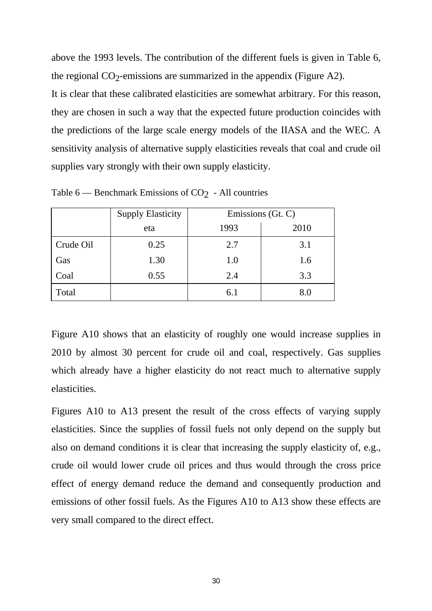above the 1993 levels. The contribution of the different fuels is given in Table 6, the regional  $CO_2$ -emissions are summarized in the appendix (Figure A2). It is clear that these calibrated elasticities are somewhat arbitrary. For this reason, they are chosen in such a way that the expected future production coincides with the predictions of the large scale energy models of the IIASA and the WEC. A sensitivity analysis of alternative supply elasticities reveals that coal and crude oil supplies vary strongly with their own supply elasticity.

|           | <b>Supply Elasticity</b> | Emissions (Gt. C) |      |  |
|-----------|--------------------------|-------------------|------|--|
|           | eta                      | 1993              | 2010 |  |
| Crude Oil | 0.25                     | 2.7               | 3.1  |  |
| Gas       | 1.30                     | 1.0               | 1.6  |  |
| Coal      | 0.55                     | 2.4               | 3.3  |  |
| Total     |                          | 6.1               | 8.0  |  |

Table  $6$  — Benchmark Emissions of CO<sub>2</sub> - All countries

Figure A10 shows that an elasticity of roughly one would increase supplies in 2010 by almost 30 percent for crude oil and coal, respectively. Gas supplies which already have a higher elasticity do not react much to alternative supply elasticities.

Figures A10 to A13 present the result of the cross effects of varying supply elasticities. Since the supplies of fossil fuels not only depend on the supply but also on demand conditions it is clear that increasing the supply elasticity of, e.g., crude oil would lower crude oil prices and thus would through the cross price effect of energy demand reduce the demand and consequently production and emissions of other fossil fuels. As the Figures A10 to A13 show these effects are very small compared to the direct effect.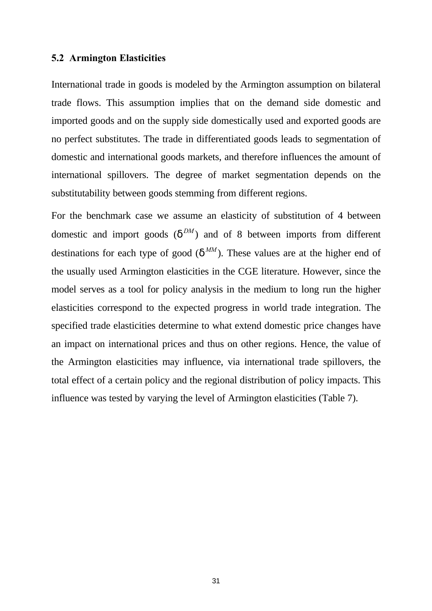### **5.2 Armington Elasticities**

International trade in goods is modeled by the Armington assumption on bilateral trade flows. This assumption implies that on the demand side domestic and imported goods and on the supply side domestically used and exported goods are no perfect substitutes. The trade in differentiated goods leads to segmentation of domestic and international goods markets, and therefore influences the amount of international spillovers. The degree of market segmentation depends on the substitutability between goods stemming from different regions.

For the benchmark case we assume an elasticity of substitution of 4 between domestic and import goods  $(d^{DM})$  and of 8 between imports from different destinations for each type of good ( $d^{MM}$ ). These values are at the higher end of the usually used Armington elasticities in the CGE literature. However, since the model serves as a tool for policy analysis in the medium to long run the higher elasticities correspond to the expected progress in world trade integration. The specified trade elasticities determine to what extend domestic price changes have an impact on international prices and thus on other regions. Hence, the value of the Armington elasticities may influence, via international trade spillovers, the total effect of a certain policy and the regional distribution of policy impacts. This influence was tested by varying the level of Armington elasticities (Table 7).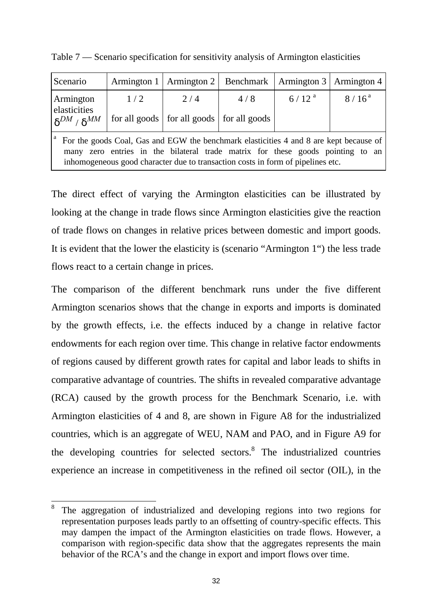| Scenario                                                                                                                                                                                                                                                       |     | Armington 1   Armington 2   Benchmark   Armington 3   Armington 4 |     |            |          |
|----------------------------------------------------------------------------------------------------------------------------------------------------------------------------------------------------------------------------------------------------------------|-----|-------------------------------------------------------------------|-----|------------|----------|
| Armington                                                                                                                                                                                                                                                      | 1/2 | 2/4                                                               | 4/8 | $6/12^{a}$ | $8/16^a$ |
| elasticities<br>$\delta^{DM}$ / $\delta^{MM}$                                                                                                                                                                                                                  |     | for all goods   for all goods   for all goods                     |     |            |          |
| For the goods Coal, Gas and EGW the benchmark elasticities 4 and 8 are kept because of<br>zero entries in the bilateral trade matrix for these goods pointing to an<br>many<br>inhomogeneous good character due to transaction costs in form of pipelines etc. |     |                                                                   |     |            |          |

Table 7 — Scenario specification for sensitivity analysis of Armington elasticities

The direct effect of varying the Armington elasticities can be illustrated by looking at the change in trade flows since Armington elasticities give the reaction of trade flows on changes in relative prices between domestic and import goods. It is evident that the lower the elasticity is (scenario "Armington 1") the less trade flows react to a certain change in prices.

The comparison of the different benchmark runs under the five different Armington scenarios shows that the change in exports and imports is dominated by the growth effects, i.e. the effects induced by a change in relative factor endowments for each region over time. This change in relative factor endowments of regions caused by different growth rates for capital and labor leads to shifts in comparative advantage of countries. The shifts in revealed comparative advantage (RCA) caused by the growth process for the Benchmark Scenario, i.e. with Armington elasticities of 4 and 8, are shown in Figure A8 for the industrialized countries, which is an aggregate of WEU, NAM and PAO, and in Figure A9 for the developing countries for selected sectors.<sup>8</sup> The industrialized countries experience an increase in competitiveness in the refined oil sector (OIL), in the

-

<sup>8</sup> The aggregation of industrialized and developing regions into two regions for representation purposes leads partly to an offsetting of country-specific effects. This may dampen the impact of the Armington elasticities on trade flows. However, a comparison with region-specific data show that the aggregates represents the main behavior of the RCA's and the change in export and import flows over time.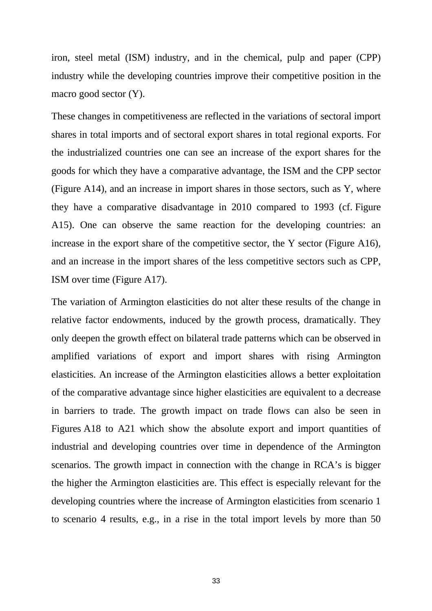iron, steel metal (ISM) industry, and in the chemical, pulp and paper (CPP) industry while the developing countries improve their competitive position in the macro good sector (Y).

These changes in competitiveness are reflected in the variations of sectoral import shares in total imports and of sectoral export shares in total regional exports. For the industrialized countries one can see an increase of the export shares for the goods for which they have a comparative advantage, the ISM and the CPP sector (Figure A14), and an increase in import shares in those sectors, such as Y, where they have a comparative disadvantage in 2010 compared to 1993 (cf. Figure A15). One can observe the same reaction for the developing countries: an increase in the export share of the competitive sector, the Y sector (Figure A16), and an increase in the import shares of the less competitive sectors such as CPP, ISM over time (Figure A17).

The variation of Armington elasticities do not alter these results of the change in relative factor endowments, induced by the growth process, dramatically. They only deepen the growth effect on bilateral trade patterns which can be observed in amplified variations of export and import shares with rising Armington elasticities. An increase of the Armington elasticities allows a better exploitation of the comparative advantage since higher elasticities are equivalent to a decrease in barriers to trade. The growth impact on trade flows can also be seen in Figures A18 to A21 which show the absolute export and import quantities of industrial and developing countries over time in dependence of the Armington scenarios. The growth impact in connection with the change in RCA's is bigger the higher the Armington elasticities are. This effect is especially relevant for the developing countries where the increase of Armington elasticities from scenario 1 to scenario 4 results, e.g., in a rise in the total import levels by more than 50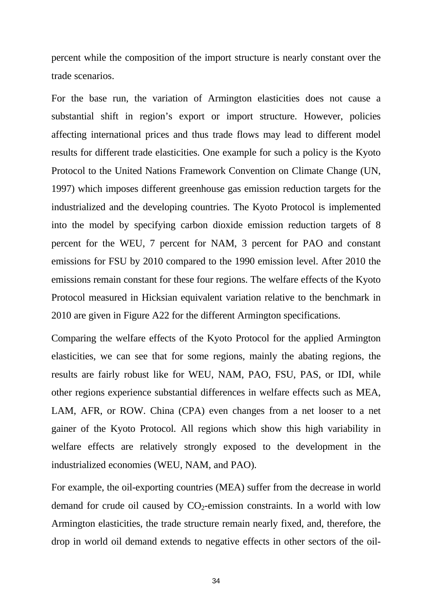percent while the composition of the import structure is nearly constant over the trade scenarios.

For the base run, the variation of Armington elasticities does not cause a substantial shift in region's export or import structure. However, policies affecting international prices and thus trade flows may lead to different model results for different trade elasticities. One example for such a policy is the Kyoto Protocol to the United Nations Framework Convention on Climate Change (UN, 1997) which imposes different greenhouse gas emission reduction targets for the industrialized and the developing countries. The Kyoto Protocol is implemented into the model by specifying carbon dioxide emission reduction targets of 8 percent for the WEU, 7 percent for NAM, 3 percent for PAO and constant emissions for FSU by 2010 compared to the 1990 emission level. After 2010 the emissions remain constant for these four regions. The welfare effects of the Kyoto Protocol measured in Hicksian equivalent variation relative to the benchmark in 2010 are given in Figure A22 for the different Armington specifications.

Comparing the welfare effects of the Kyoto Protocol for the applied Armington elasticities, we can see that for some regions, mainly the abating regions, the results are fairly robust like for WEU, NAM, PAO, FSU, PAS, or IDI, while other regions experience substantial differences in welfare effects such as MEA, LAM, AFR, or ROW. China (CPA) even changes from a net looser to a net gainer of the Kyoto Protocol. All regions which show this high variability in welfare effects are relatively strongly exposed to the development in the industrialized economies (WEU, NAM, and PAO).

For example, the oil-exporting countries (MEA) suffer from the decrease in world demand for crude oil caused by  $CO<sub>2</sub>$ -emission constraints. In a world with low Armington elasticities, the trade structure remain nearly fixed, and, therefore, the drop in world oil demand extends to negative effects in other sectors of the oil-

34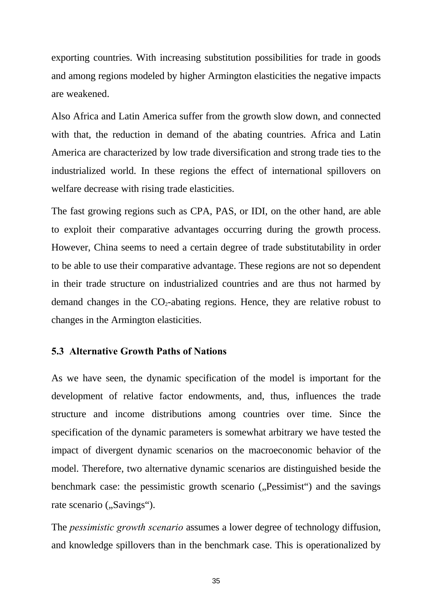exporting countries. With increasing substitution possibilities for trade in goods and among regions modeled by higher Armington elasticities the negative impacts are weakened.

Also Africa and Latin America suffer from the growth slow down, and connected with that, the reduction in demand of the abating countries. Africa and Latin America are characterized by low trade diversification and strong trade ties to the industrialized world. In these regions the effect of international spillovers on welfare decrease with rising trade elasticities.

The fast growing regions such as CPA, PAS, or IDI, on the other hand, are able to exploit their comparative advantages occurring during the growth process. However, China seems to need a certain degree of trade substitutability in order to be able to use their comparative advantage. These regions are not so dependent in their trade structure on industrialized countries and are thus not harmed by demand changes in the  $CO<sub>2</sub>$ -abating regions. Hence, they are relative robust to changes in the Armington elasticities.

### **5.3 Alternative Growth Paths of Nations**

As we have seen, the dynamic specification of the model is important for the development of relative factor endowments, and, thus, influences the trade structure and income distributions among countries over time. Since the specification of the dynamic parameters is somewhat arbitrary we have tested the impact of divergent dynamic scenarios on the macroeconomic behavior of the model. Therefore, two alternative dynamic scenarios are distinguished beside the benchmark case: the pessimistic growth scenario ("Pessimist") and the savings rate scenario ("Savings").

The *pessimistic growth scenario* assumes a lower degree of technology diffusion, and knowledge spillovers than in the benchmark case. This is operationalized by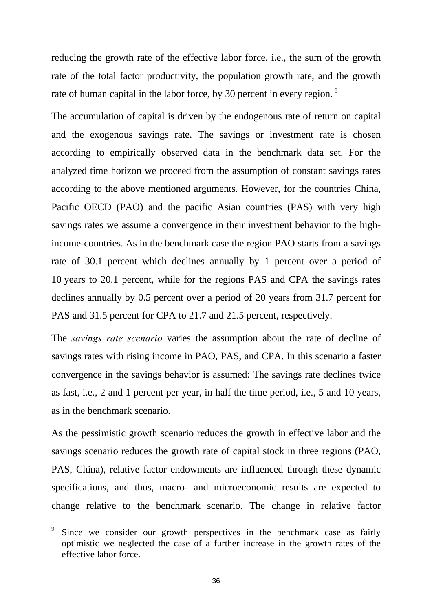reducing the growth rate of the effective labor force, i.e., the sum of the growth rate of the total factor productivity, the population growth rate, and the growth rate of human capital in the labor force, by 30 percent in every region.<sup>9</sup>

The accumulation of capital is driven by the endogenous rate of return on capital and the exogenous savings rate. The savings or investment rate is chosen according to empirically observed data in the benchmark data set. For the analyzed time horizon we proceed from the assumption of constant savings rates according to the above mentioned arguments. However, for the countries China, Pacific OECD (PAO) and the pacific Asian countries (PAS) with very high savings rates we assume a convergence in their investment behavior to the highincome-countries. As in the benchmark case the region PAO starts from a savings rate of 30.1 percent which declines annually by 1 percent over a period of 10 years to 20.1 percent, while for the regions PAS and CPA the savings rates declines annually by 0.5 percent over a period of 20 years from 31.7 percent for PAS and 31.5 percent for CPA to 21.7 and 21.5 percent, respectively.

The *savings rate scenario* varies the assumption about the rate of decline of savings rates with rising income in PAO, PAS, and CPA. In this scenario a faster convergence in the savings behavior is assumed: The savings rate declines twice as fast, i.e., 2 and 1 percent per year, in half the time period, i.e., 5 and 10 years, as in the benchmark scenario.

As the pessimistic growth scenario reduces the growth in effective labor and the savings scenario reduces the growth rate of capital stock in three regions (PAO, PAS, China), relative factor endowments are influenced through these dynamic specifications, and thus, macro- and microeconomic results are expected to change relative to the benchmark scenario. The change in relative factor

-

<sup>9</sup> Since we consider our growth perspectives in the benchmark case as fairly optimistic we neglected the case of a further increase in the growth rates of the effective labor force.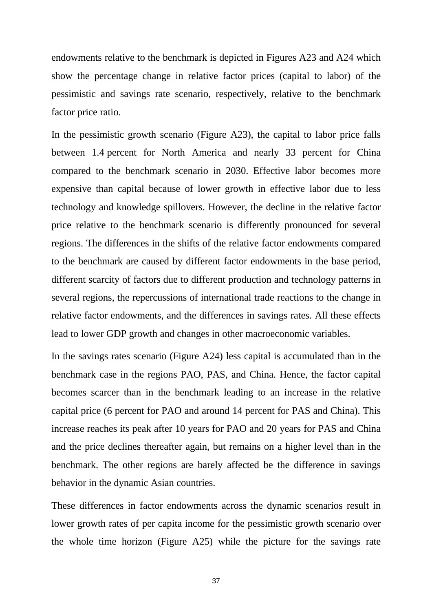endowments relative to the benchmark is depicted in Figures A23 and A24 which show the percentage change in relative factor prices (capital to labor) of the pessimistic and savings rate scenario, respectively, relative to the benchmark factor price ratio.

In the pessimistic growth scenario (Figure A23), the capital to labor price falls between 1.4 percent for North America and nearly 33 percent for China compared to the benchmark scenario in 2030. Effective labor becomes more expensive than capital because of lower growth in effective labor due to less technology and knowledge spillovers. However, the decline in the relative factor price relative to the benchmark scenario is differently pronounced for several regions. The differences in the shifts of the relative factor endowments compared to the benchmark are caused by different factor endowments in the base period, different scarcity of factors due to different production and technology patterns in several regions, the repercussions of international trade reactions to the change in relative factor endowments, and the differences in savings rates. All these effects lead to lower GDP growth and changes in other macroeconomic variables.

In the savings rates scenario (Figure A24) less capital is accumulated than in the benchmark case in the regions PAO, PAS, and China. Hence, the factor capital becomes scarcer than in the benchmark leading to an increase in the relative capital price (6 percent for PAO and around 14 percent for PAS and China). This increase reaches its peak after 10 years for PAO and 20 years for PAS and China and the price declines thereafter again, but remains on a higher level than in the benchmark. The other regions are barely affected be the difference in savings behavior in the dynamic Asian countries.

These differences in factor endowments across the dynamic scenarios result in lower growth rates of per capita income for the pessimistic growth scenario over the whole time horizon (Figure A25) while the picture for the savings rate

37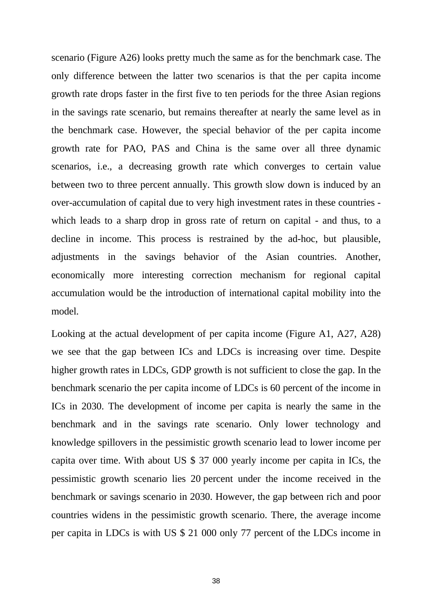scenario (Figure A26) looks pretty much the same as for the benchmark case. The only difference between the latter two scenarios is that the per capita income growth rate drops faster in the first five to ten periods for the three Asian regions in the savings rate scenario, but remains thereafter at nearly the same level as in the benchmark case. However, the special behavior of the per capita income growth rate for PAO, PAS and China is the same over all three dynamic scenarios, i.e., a decreasing growth rate which converges to certain value between two to three percent annually. This growth slow down is induced by an over-accumulation of capital due to very high investment rates in these countries which leads to a sharp drop in gross rate of return on capital - and thus, to a decline in income. This process is restrained by the ad-hoc, but plausible, adjustments in the savings behavior of the Asian countries. Another, economically more interesting correction mechanism for regional capital accumulation would be the introduction of international capital mobility into the model.

Looking at the actual development of per capita income (Figure A1, A27, A28) we see that the gap between ICs and LDCs is increasing over time. Despite higher growth rates in LDCs, GDP growth is not sufficient to close the gap. In the benchmark scenario the per capita income of LDCs is 60 percent of the income in ICs in 2030. The development of income per capita is nearly the same in the benchmark and in the savings rate scenario. Only lower technology and knowledge spillovers in the pessimistic growth scenario lead to lower income per capita over time. With about US \$ 37 000 yearly income per capita in ICs, the pessimistic growth scenario lies 20 percent under the income received in the benchmark or savings scenario in 2030. However, the gap between rich and poor countries widens in the pessimistic growth scenario. There, the average income per capita in LDCs is with US \$ 21 000 only 77 percent of the LDCs income in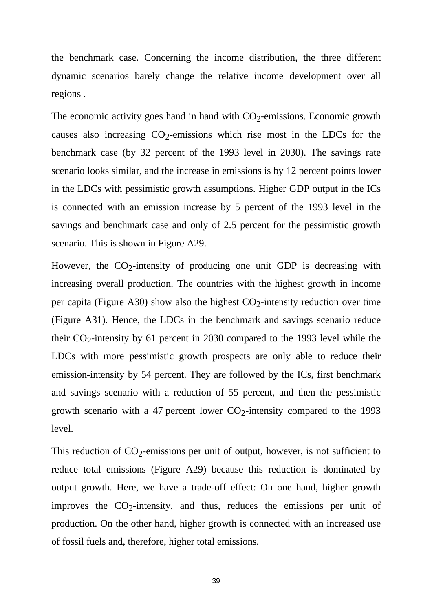the benchmark case. Concerning the income distribution, the three different dynamic scenarios barely change the relative income development over all regions .

The economic activity goes hand in hand with  $CO<sub>2</sub>$ -emissions. Economic growth causes also increasing  $CO_2$ -emissions which rise most in the LDCs for the benchmark case (by 32 percent of the 1993 level in 2030). The savings rate scenario looks similar, and the increase in emissions is by 12 percent points lower in the LDCs with pessimistic growth assumptions. Higher GDP output in the ICs is connected with an emission increase by 5 percent of the 1993 level in the savings and benchmark case and only of 2.5 percent for the pessimistic growth scenario. This is shown in Figure A29.

However, the  $CO_2$ -intensity of producing one unit GDP is decreasing with increasing overall production. The countries with the highest growth in income per capita (Figure A30) show also the highest  $CO_2$ -intensity reduction over time (Figure A31). Hence, the LDCs in the benchmark and savings scenario reduce their  $CO_2$ -intensity by 61 percent in 2030 compared to the 1993 level while the LDCs with more pessimistic growth prospects are only able to reduce their emission-intensity by 54 percent. They are followed by the ICs, first benchmark and savings scenario with a reduction of 55 percent, and then the pessimistic growth scenario with a 47 percent lower  $CO_2$ -intensity compared to the 1993 level.

This reduction of  $CO_2$ -emissions per unit of output, however, is not sufficient to reduce total emissions (Figure A29) because this reduction is dominated by output growth. Here, we have a trade-off effect: On one hand, higher growth improves the  $CO_2$ -intensity, and thus, reduces the emissions per unit of production. On the other hand, higher growth is connected with an increased use of fossil fuels and, therefore, higher total emissions.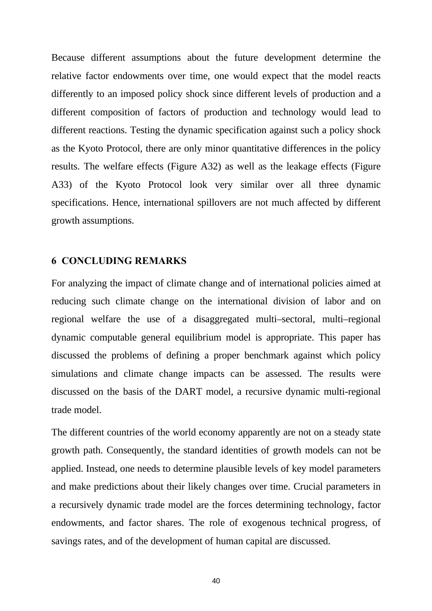Because different assumptions about the future development determine the relative factor endowments over time, one would expect that the model reacts differently to an imposed policy shock since different levels of production and a different composition of factors of production and technology would lead to different reactions. Testing the dynamic specification against such a policy shock as the Kyoto Protocol, there are only minor quantitative differences in the policy results. The welfare effects (Figure A32) as well as the leakage effects (Figure A33) of the Kyoto Protocol look very similar over all three dynamic specifications. Hence, international spillovers are not much affected by different growth assumptions.

### **6 CONCLUDING REMARKS**

For analyzing the impact of climate change and of international policies aimed at reducing such climate change on the international division of labor and on regional welfare the use of a disaggregated multi–sectoral, multi–regional dynamic computable general equilibrium model is appropriate. This paper has discussed the problems of defining a proper benchmark against which policy simulations and climate change impacts can be assessed. The results were discussed on the basis of the DART model, a recursive dynamic multi-regional trade model.

The different countries of the world economy apparently are not on a steady state growth path. Consequently, the standard identities of growth models can not be applied. Instead, one needs to determine plausible levels of key model parameters and make predictions about their likely changes over time. Crucial parameters in a recursively dynamic trade model are the forces determining technology, factor endowments, and factor shares. The role of exogenous technical progress, of savings rates, and of the development of human capital are discussed.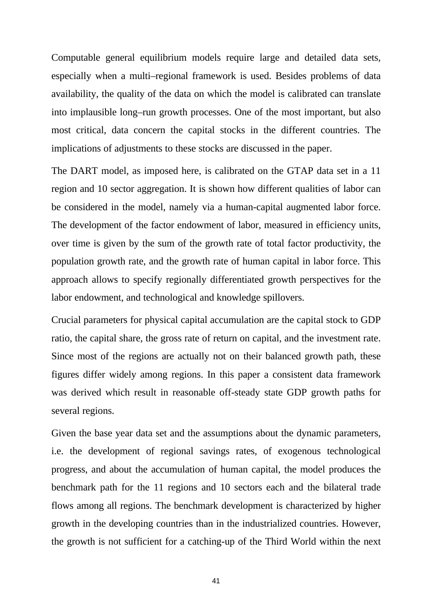Computable general equilibrium models require large and detailed data sets, especially when a multi–regional framework is used. Besides problems of data availability, the quality of the data on which the model is calibrated can translate into implausible long–run growth processes. One of the most important, but also most critical, data concern the capital stocks in the different countries. The implications of adjustments to these stocks are discussed in the paper.

The DART model, as imposed here, is calibrated on the GTAP data set in a 11 region and 10 sector aggregation. It is shown how different qualities of labor can be considered in the model, namely via a human-capital augmented labor force. The development of the factor endowment of labor, measured in efficiency units, over time is given by the sum of the growth rate of total factor productivity, the population growth rate, and the growth rate of human capital in labor force. This approach allows to specify regionally differentiated growth perspectives for the labor endowment, and technological and knowledge spillovers.

Crucial parameters for physical capital accumulation are the capital stock to GDP ratio, the capital share, the gross rate of return on capital, and the investment rate. Since most of the regions are actually not on their balanced growth path, these figures differ widely among regions. In this paper a consistent data framework was derived which result in reasonable off-steady state GDP growth paths for several regions.

Given the base year data set and the assumptions about the dynamic parameters, i.e. the development of regional savings rates, of exogenous technological progress, and about the accumulation of human capital, the model produces the benchmark path for the 11 regions and 10 sectors each and the bilateral trade flows among all regions. The benchmark development is characterized by higher growth in the developing countries than in the industrialized countries. However, the growth is not sufficient for a catching-up of the Third World within the next

41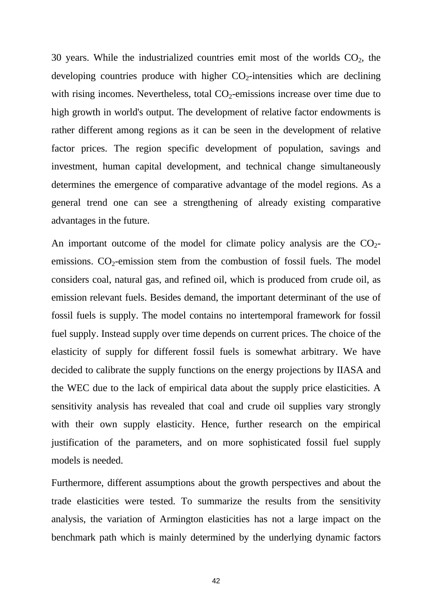30 years. While the industrialized countries emit most of the worlds  $CO<sub>2</sub>$ , the developing countries produce with higher  $CO<sub>2</sub>$ -intensities which are declining with rising incomes. Nevertheless, total  $CO<sub>2</sub>$ -emissions increase over time due to high growth in world's output. The development of relative factor endowments is rather different among regions as it can be seen in the development of relative factor prices. The region specific development of population, savings and investment, human capital development, and technical change simultaneously determines the emergence of comparative advantage of the model regions. As a general trend one can see a strengthening of already existing comparative advantages in the future.

An important outcome of the model for climate policy analysis are the  $CO<sub>2</sub>$ emissions.  $CO<sub>2</sub>$ -emission stem from the combustion of fossil fuels. The model considers coal, natural gas, and refined oil, which is produced from crude oil, as emission relevant fuels. Besides demand, the important determinant of the use of fossil fuels is supply. The model contains no intertemporal framework for fossil fuel supply. Instead supply over time depends on current prices. The choice of the elasticity of supply for different fossil fuels is somewhat arbitrary. We have decided to calibrate the supply functions on the energy projections by IIASA and the WEC due to the lack of empirical data about the supply price elasticities. A sensitivity analysis has revealed that coal and crude oil supplies vary strongly with their own supply elasticity. Hence, further research on the empirical justification of the parameters, and on more sophisticated fossil fuel supply models is needed.

Furthermore, different assumptions about the growth perspectives and about the trade elasticities were tested. To summarize the results from the sensitivity analysis, the variation of Armington elasticities has not a large impact on the benchmark path which is mainly determined by the underlying dynamic factors

42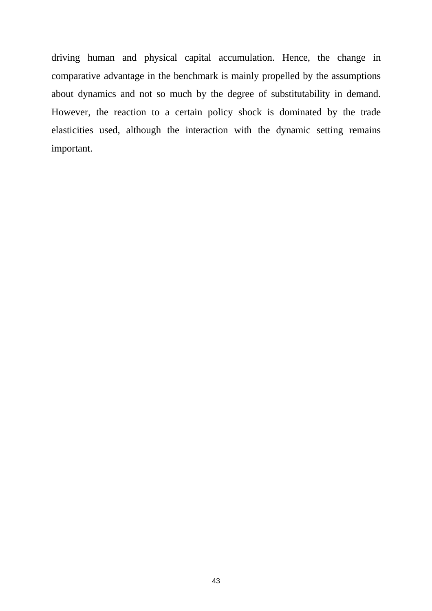driving human and physical capital accumulation. Hence, the change in comparative advantage in the benchmark is mainly propelled by the assumptions about dynamics and not so much by the degree of substitutability in demand. However, the reaction to a certain policy shock is dominated by the trade elasticities used, although the interaction with the dynamic setting remains important.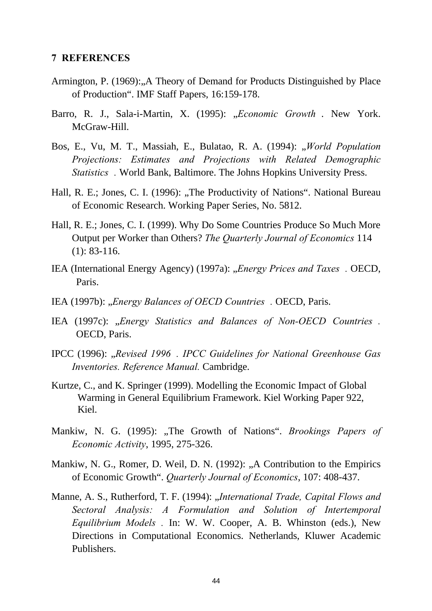#### **7 REFERENCES**

- Armington, P. (1969): "A Theory of Demand for Products Distinguished by Place of Production". IMF Staff Papers, 16:159-178.
- Barro, R. J., Sala-i-Martin, X. (1995): "Economic Growth . New York. McGraw-Hill.
- Bos, E., Vu, M. T., Massiah, E., Bulatao, R. A. (1994): "*World Population Projections: Estimates and Projections with Related Demographic Statistics".* World Bank, Baltimore. The Johns Hopkins University Press.
- Hall, R. E.; Jones, C. I. (1996): "The Productivity of Nations". National Bureau of Economic Research. Working Paper Series, No. 5812.
- Hall, R. E.; Jones, C. I. (1999). Why Do Some Countries Produce So Much More Output per Worker than Others? *The Quarterly Journal of Economics* 114 (1): 83-116.
- IEA (International Energy Agency) (1997a): "*Energy Prices and Taxes*. OECD, Paris.
- IEA (1997b): "*Energy Balances of OECD Countries"*. OECD, Paris.
- IEA (1997c): *"Energy Statistics and Balances of Non-OECD Countries*. OECD, Paris.
- IPCC (1996): *"Revised 1996 . IPCC Guidelines for National Greenhouse Gas Inventories. Reference Manual.* Cambridge.
- Kurtze, C., and K. Springer (1999). Modelling the Economic Impact of Global Warming in General Equilibrium Framework. Kiel Working Paper 922, Kiel.
- Mankiw, N. G. (1995): "The Growth of Nations". *Brookings Papers of Economic Activity*, 1995, 275-326.
- Mankiw, N. G., Romer, D. Weil, D. N. (1992): "A Contribution to the Empirics of Economic Growth". *Quarterly Journal of Economics*, 107: 408-437.
- Manne, A. S., Rutherford, T. F. (1994): "*International Trade, Capital Flows and Sectoral Analysis: A Formulation and Solution of Intertemporal Equilibrium Models".* In: W. W. Cooper, A. B. Whinston (eds.), New Directions in Computational Economics. Netherlands, Kluwer Academic Publishers.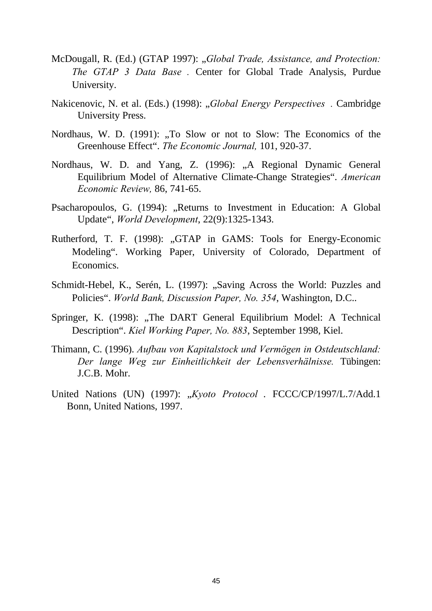- McDougall, R. (Ed.) (GTAP 1997): "*Global Trade, Assistance, and Protection: The GTAP 3 Data Base".* Center for Global Trade Analysis, Purdue University.
- Nakicenovic, N. et al. (Eds.) (1998): "*Global Energy Perspectives*. Cambridge University Press.
- Nordhaus, W. D. (1991): "To Slow or not to Slow: The Economics of the Greenhouse Effect". *The Economic Journal,* 101, 920-37.
- Nordhaus, W. D. and Yang, Z. (1996): "A Regional Dynamic General Equilibrium Model of Alternative Climate-Change Strategies". *American Economic Review,* 86, 741-65.
- Psacharopoulos, G. (1994): "Returns to Investment in Education: A Global Update", *World Development*, 22(9):1325-1343.
- Rutherford, T. F. (1998): "GTAP in GAMS: Tools for Energy-Economic Modeling". Working Paper, University of Colorado, Department of Economics.
- Schmidt-Hebel, K., Serén, L. (1997): "Saving Across the World: Puzzles and Policies". *World Bank, Discussion Paper, No. 354*, Washington, D.C..
- Springer, K. (1998): "The DART General Equilibrium Model: A Technical Description". *Kiel Working Paper, No. 883*, September 1998, Kiel.
- Thimann, C. (1996). *Aufbau von Kapitalstock und Vermögen in Ostdeutschland: Der lange Weg zur Einheitlichkeit der Lebensverhälnisse.* Tübingen: J.C.B. Mohr.
- United Nations (UN) (1997): "Kyoto Protocol . FCCC/CP/1997/L.7/Add.1 Bonn, United Nations, 1997.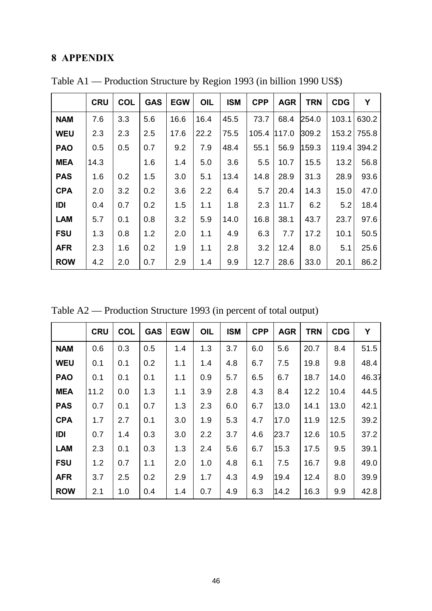# **8 APPENDIX**

|            | <b>CRU</b> | <b>COL</b> | <b>GAS</b> | <b>EGW</b> | OIL  | <b>ISM</b> | <b>CPP</b> | <b>AGR</b> | <b>TRN</b> | <b>CDG</b> | Y           |
|------------|------------|------------|------------|------------|------|------------|------------|------------|------------|------------|-------------|
| <b>NAM</b> | 7.6        | 3.3        | 5.6        | 16.6       | 16.4 | 45.5       | 73.7       | 68.4       | 254.0      | 103.1      | 630.2       |
| <b>WEU</b> | 2.3        | 2.3        | 2.5        | 17.6       | 22.2 | 75.5       | 105.4      | 117.0      | 309.2      |            | 153.2 755.8 |
| <b>PAO</b> | 0.5        | 0.5        | 0.7        | 9.2        | 7.9  | 48.4       | 55.1       | 56.9       | 159.3      | 119.4      | 394.2       |
| <b>MEA</b> | 14.3       |            | 1.6        | 1.4        | 5.0  | 3.6        | 5.5        | 10.7       | 15.5       | 13.2       | 56.8        |
| <b>PAS</b> | 1.6        | 0.2        | 1.5        | 3.0        | 5.1  | 13.4       | 14.8       | 28.9       | 31.3       | 28.9       | 93.6        |
| <b>CPA</b> | 2.0        | 3.2        | 0.2        | 3.6        | 2.2  | 6.4        | 5.7        | 20.4       | 14.3       | 15.0       | 47.0        |
| IDI        | 0.4        | 0.7        | 0.2        | 1.5        | 1.1  | 1.8        | 2.3        | 11.7       | 6.2        | 5.2        | 18.4        |
| <b>LAM</b> | 5.7        | 0.1        | 0.8        | 3.2        | 5.9  | 14.0       | 16.8       | 38.1       | 43.7       | 23.7       | 97.6        |
| <b>FSU</b> | 1.3        | 0.8        | 1.2        | 2.0        | 1.1  | 4.9        | 6.3        | 7.7        | 17.2       | 10.1       | 50.5        |
| <b>AFR</b> | 2.3        | 1.6        | 0.2        | 1.9        | 1.1  | 2.8        | 3.2        | 12.4       | 8.0        | 5.1        | 25.6        |
| <b>ROW</b> | 4.2        | 2.0        | 0.7        | 2.9        | 1.4  | 9.9        | 12.7       | 28.6       | 33.0       | 20.1       | 86.2        |

Table A1 — Production Structure by Region 1993 (in billion 1990 US\$)

Table A2 — Production Structure 1993 (in percent of total output)

|            | <b>CRU</b> | <b>COL</b> | <b>GAS</b> | <b>EGW</b> | OIL | <b>ISM</b> | <b>CPP</b> | <b>AGR</b> | <b>TRN</b> | <b>CDG</b> | Y     |
|------------|------------|------------|------------|------------|-----|------------|------------|------------|------------|------------|-------|
| <b>NAM</b> | 0.6        | 0.3        | 0.5        | 1.4        | 1.3 | 3.7        | 6.0        | 5.6        | 20.7       | 8.4        | 51.5  |
| <b>WEU</b> | 0.1        | 0.1        | 0.2        | 1.1        | 1.4 | 4.8        | 6.7        | 7.5        | 19.8       | 9.8        | 48.4  |
| <b>PAO</b> | 0.1        | 0.1        | 0.1        | 1.1        | 0.9 | 5.7        | 6.5        | 6.7        | 18.7       | 14.0       | 46.37 |
| <b>MEA</b> | 11.2       | 0.0        | 1.3        | 1.1        | 3.9 | 2.8        | 4.3        | 8.4        | 12.2       | 10.4       | 44.5  |
| <b>PAS</b> | 0.7        | 0.1        | 0.7        | 1.3        | 2.3 | 6.0        | 6.7        | 13.0       | 14.1       | 13.0       | 42.1  |
| <b>CPA</b> | 1.7        | 2.7        | 0.1        | 3.0        | 1.9 | 5.3        | 4.7        | 17.0       | 11.9       | 12.5       | 39.2  |
| IDI        | 0.7        | 1.4        | 0.3        | 3.0        | 2.2 | 3.7        | 4.6        | 23.7       | 12.6       | 10.5       | 37.2  |
| <b>LAM</b> | 2.3        | 0.1        | 0.3        | 1.3        | 2.4 | 5.6        | 6.7        | 15.3       | 17.5       | 9.5        | 39.1  |
| <b>FSU</b> | 1.2        | 0.7        | 1.1        | 2.0        | 1.0 | 4.8        | 6.1        | 7.5        | 16.7       | 9.8        | 49.0  |
| <b>AFR</b> | 3.7        | 2.5        | 0.2        | 2.9        | 1.7 | 4.3        | 4.9        | 19.4       | 12.4       | 8.0        | 39.9  |
| <b>ROW</b> | 2.1        | 1.0        | 0.4        | 1.4        | 0.7 | 4.9        | 6.3        | 14.2       | 16.3       | 9.9        | 42.8  |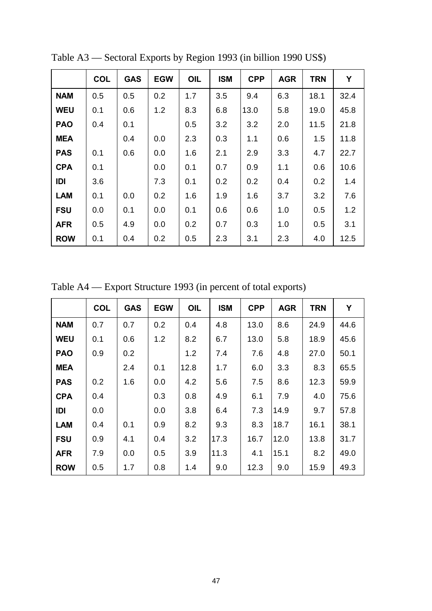|            | <b>COL</b> | <b>GAS</b> | <b>EGW</b> | OIL | <b>ISM</b> | <b>CPP</b> | <b>AGR</b> | <b>TRN</b> | Y    |
|------------|------------|------------|------------|-----|------------|------------|------------|------------|------|
| <b>NAM</b> | 0.5        | 0.5        | 0.2        | 1.7 | 3.5        | 9.4        | 6.3        | 18.1       | 32.4 |
| <b>WEU</b> | 0.1        | 0.6        | 1.2        | 8.3 | 6.8        | 13.0       | 5.8        | 19.0       | 45.8 |
| <b>PAO</b> | 0.4        | 0.1        |            | 0.5 | 3.2        | 3.2        | 2.0        | 11.5       | 21.8 |
| <b>MEA</b> |            | 0.4        | 0.0        | 2.3 | 0.3        | 1.1        | 0.6        | 1.5        | 11.8 |
| <b>PAS</b> | 0.1        | 0.6        | 0.0        | 1.6 | 2.1        | 2.9        | 3.3        | 4.7        | 22.7 |
| <b>CPA</b> | 0.1        |            | 0.0        | 0.1 | 0.7        | 0.9        | 1.1        | 0.6        | 10.6 |
| IDI        | 3.6        |            | 7.3        | 0.1 | 0.2        | 0.2        | 0.4        | 0.2        | 1.4  |
| <b>LAM</b> | 0.1        | 0.0        | 0.2        | 1.6 | 1.9        | 1.6        | 3.7        | 3.2        | 7.6  |
| <b>FSU</b> | 0.0        | 0.1        | 0.0        | 0.1 | 0.6        | 0.6        | 1.0        | 0.5        | 1.2  |
| <b>AFR</b> | 0.5        | 4.9        | 0.0        | 0.2 | 0.7        | 0.3        | 1.0        | 0.5        | 3.1  |
| <b>ROW</b> | 0.1        | 0.4        | 0.2        | 0.5 | 2.3        | 3.1        | 2.3        | 4.0        | 12.5 |

Table A3 — Sectoral Exports by Region 1993 (in billion 1990 US\$)

Table A4 — Export Structure 1993 (in percent of total exports)

|            | <b>COL</b> | <b>GAS</b> | <b>EGW</b> | OIL  | <b>ISM</b> | <b>CPP</b> | <b>AGR</b> | <b>TRN</b> | Y    |
|------------|------------|------------|------------|------|------------|------------|------------|------------|------|
| <b>NAM</b> | 0.7        | 0.7        | 0.2        | 0.4  | 4.8        | 13.0       | 8.6        | 24.9       | 44.6 |
| <b>WEU</b> | 0.1        | 0.6        | 1.2        | 8.2  | 6.7        | 13.0       | 5.8        | 18.9       | 45.6 |
| <b>PAO</b> | 0.9        | 0.2        |            | 1.2  | 7.4        | 7.6        | 4.8        | 27.0       | 50.1 |
| <b>MEA</b> |            | 2.4        | 0.1        | 12.8 | 1.7        | 6.0        | 3.3        | 8.3        | 65.5 |
| <b>PAS</b> | 0.2        | 1.6        | 0.0        | 4.2  | 5.6        | 7.5        | 8.6        | 12.3       | 59.9 |
| <b>CPA</b> | 0.4        |            | 0.3        | 0.8  | 4.9        | 6.1        | 7.9        | 4.0        | 75.6 |
| IDI        | 0.0        |            | 0.0        | 3.8  | 6.4        | 7.3        | 14.9       | 9.7        | 57.8 |
| <b>LAM</b> | 0.4        | 0.1        | 0.9        | 8.2  | 9.3        | 8.3        | 18.7       | 16.1       | 38.1 |
| <b>FSU</b> | 0.9        | 4.1        | 0.4        | 3.2  | 17.3       | 16.7       | 12.0       | 13.8       | 31.7 |
| <b>AFR</b> | 7.9        | 0.0        | 0.5        | 3.9  | 11.3       | 4.1        | 15.1       | 8.2        | 49.0 |
| <b>ROW</b> | 0.5        | 1.7        | 0.8        | 1.4  | 9.0        | 12.3       | 9.0        | 15.9       | 49.3 |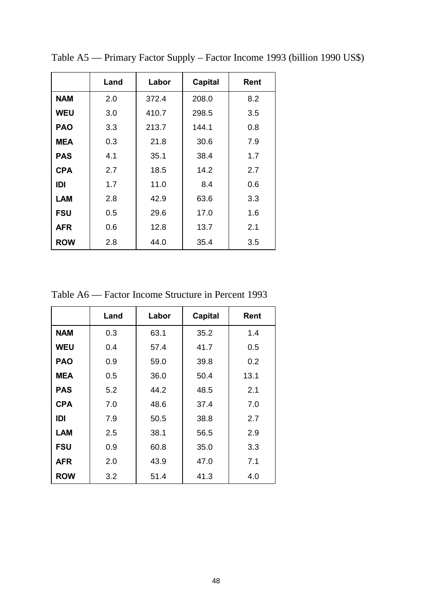|            | Land | Labor | <b>Capital</b> | Rent |
|------------|------|-------|----------------|------|
| <b>NAM</b> | 2.0  | 372.4 | 208.0          | 8.2  |
| <b>WEU</b> | 3.0  | 410.7 | 298.5          | 3.5  |
| <b>PAO</b> | 3.3  | 213.7 | 144.1          | 0.8  |
| <b>MEA</b> | 0.3  | 21.8  | 30.6           | 7.9  |
| <b>PAS</b> | 4.1  | 35.1  | 38.4           | 1.7  |
| <b>CPA</b> | 2.7  | 18.5  | 14.2           | 2.7  |
| IDI        | 1.7  | 11.0  | 8.4            | 0.6  |
| <b>LAM</b> | 2.8  | 42.9  | 63.6           | 3.3  |
| <b>FSU</b> | 0.5  | 29.6  | 17.0           | 1.6  |
| <b>AFR</b> | 0.6  | 12.8  | 13.7           | 2.1  |
| <b>ROW</b> | 2.8  | 44.0  | 35.4           | 3.5  |

Table A5 — Primary Factor Supply – Factor Income 1993 (billion 1990 US\$)

Table A6 — Factor Income Structure in Percent 1993

|            | Land | Labor | <b>Capital</b> | Rent |
|------------|------|-------|----------------|------|
| <b>NAM</b> | 0.3  | 63.1  | 35.2           | 1.4  |
| <b>WEU</b> | 0.4  | 57.4  | 41.7           | 0.5  |
| <b>PAO</b> | 0.9  | 59.0  | 39.8           | 0.2  |
| <b>MEA</b> | 0.5  | 36.0  | 50.4           | 13.1 |
| <b>PAS</b> | 5.2  | 44.2  | 48.5           | 2.1  |
| <b>CPA</b> | 7.0  | 48.6  | 37.4           | 7.0  |
| IDI        | 7.9  | 50.5  | 38.8           | 2.7  |
| <b>LAM</b> | 2.5  | 38.1  | 56.5           | 2.9  |
| <b>FSU</b> | 0.9  | 60.8  | 35.0           | 3.3  |
| AFR        | 2.0  | 43.9  | 47.0           | 7.1  |
| <b>ROW</b> | 3.2  | 51.4  | 41.3           | 4.0  |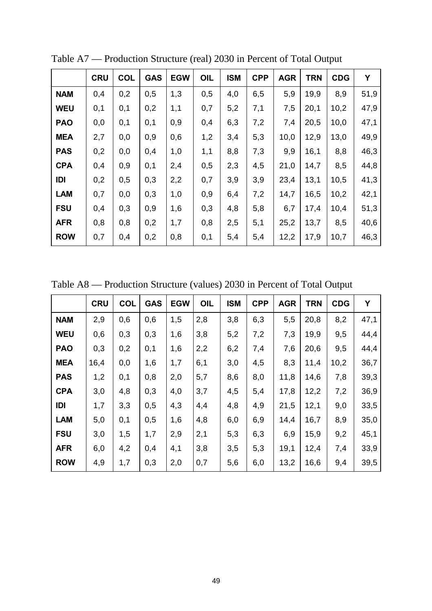|            | <b>CRU</b> | <b>COL</b> | <b>GAS</b> | <b>EGW</b> | <b>OIL</b> | <b>ISM</b> | <b>CPP</b> | <b>AGR</b> | <b>TRN</b> | <b>CDG</b> | Y    |
|------------|------------|------------|------------|------------|------------|------------|------------|------------|------------|------------|------|
| <b>NAM</b> | 0,4        | 0,2        | 0,5        | 1,3        | 0,5        | 4,0        | 6,5        | 5,9        | 19,9       | 8,9        | 51,9 |
| <b>WEU</b> | 0,1        | 0,1        | 0,2        | 1,1        | 0,7        | 5,2        | 7,1        | 7,5        | 20,1       | 10,2       | 47,9 |
| <b>PAO</b> | 0,0        | 0,1        | 0,1        | 0,9        | 0,4        | 6,3        | 7,2        | 7,4        | 20,5       | 10,0       | 47,1 |
| <b>MEA</b> | 2,7        | 0,0        | 0,9        | 0,6        | 1,2        | 3,4        | 5,3        | 10,0       | 12,9       | 13,0       | 49,9 |
| <b>PAS</b> | 0,2        | 0,0        | 0,4        | 1,0        | 1,1        | 8,8        | 7,3        | 9,9        | 16,1       | 8,8        | 46,3 |
| <b>CPA</b> | 0,4        | 0,9        | 0,1        | 2,4        | 0,5        | 2,3        | 4,5        | 21,0       | 14,7       | 8,5        | 44,8 |
| IDI        | 0,2        | 0,5        | 0,3        | 2,2        | 0,7        | 3,9        | 3,9        | 23,4       | 13,1       | 10,5       | 41,3 |
| <b>LAM</b> | 0,7        | 0,0        | 0,3        | 1,0        | 0,9        | 6,4        | 7,2        | 14,7       | 16,5       | 10,2       | 42,1 |
| <b>FSU</b> | 0,4        | 0,3        | 0,9        | 1,6        | 0,3        | 4,8        | 5,8        | 6,7        | 17,4       | 10,4       | 51,3 |
| <b>AFR</b> | 0,8        | 0,8        | 0,2        | 1,7        | 0,8        | 2,5        | 5,1        | 25,2       | 13,7       | 8,5        | 40,6 |
| <b>ROW</b> | 0,7        | 0,4        | 0,2        | 0,8        | 0,1        | 5,4        | 5,4        | 12,2       | 17,9       | 10,7       | 46,3 |

Table A7 — Production Structure (real) 2030 in Percent of Total Output

Table A8 — Production Structure (values) 2030 in Percent of Total Output

|            | <b>CRU</b> | <b>COL</b> | <b>GAS</b> | <b>EGW</b> | OIL | <b>ISM</b> | <b>CPP</b> | <b>AGR</b> | <b>TRN</b> | <b>CDG</b> | Y    |
|------------|------------|------------|------------|------------|-----|------------|------------|------------|------------|------------|------|
| <b>NAM</b> | 2,9        | 0,6        | 0,6        | 1,5        | 2,8 | 3,8        | 6,3        | 5,5        | 20,8       | 8,2        | 47,1 |
| <b>WEU</b> | 0,6        | 0,3        | 0,3        | 1,6        | 3,8 | 5,2        | 7,2        | 7,3        | 19,9       | 9,5        | 44,4 |
| <b>PAO</b> | 0,3        | 0,2        | 0,1        | 1,6        | 2,2 | 6,2        | 7,4        | 7,6        | 20,6       | 9,5        | 44,4 |
| <b>MEA</b> | 16,4       | 0,0        | 1,6        | 1,7        | 6,1 | 3,0        | 4,5        | 8,3        | 11,4       | 10,2       | 36,7 |
| <b>PAS</b> | 1,2        | 0,1        | 0,8        | 2,0        | 5,7 | 8,6        | 8,0        | 11,8       | 14,6       | 7,8        | 39,3 |
| <b>CPA</b> | 3,0        | 4,8        | 0,3        | 4,0        | 3,7 | 4,5        | 5,4        | 17,8       | 12,2       | 7,2        | 36,9 |
| IDI        | 1,7        | 3,3        | 0,5        | 4,3        | 4,4 | 4,8        | 4,9        | 21,5       | 12,1       | 9,0        | 33,5 |
| <b>LAM</b> | 5,0        | 0,1        | 0,5        | 1,6        | 4,8 | 6,0        | 6,9        | 14,4       | 16,7       | 8,9        | 35,0 |
| <b>FSU</b> | 3,0        | 1,5        | 1,7        | 2,9        | 2,1 | 5,3        | 6,3        | 6,9        | 15,9       | 9,2        | 45,1 |
| <b>AFR</b> | 6,0        | 4,2        | 0,4        | 4,1        | 3,8 | 3,5        | 5,3        | 19,1       | 12,4       | 7,4        | 33,9 |
| <b>ROW</b> | 4,9        | 1,7        | 0,3        | 2,0        | 0,7 | 5,6        | 6,0        | 13,2       | 16,6       | 9,4        | 39,5 |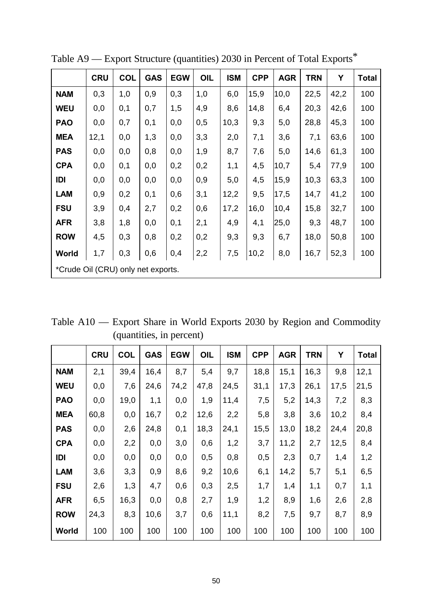|                                    | <b>CRU</b> | <b>COL</b> | <b>GAS</b> | <b>EGW</b> | <b>OIL</b> | <b>ISM</b> | <b>CPP</b> | <b>AGR</b> | <b>TRN</b> | Y    | <b>Total</b> |
|------------------------------------|------------|------------|------------|------------|------------|------------|------------|------------|------------|------|--------------|
| <b>NAM</b>                         | 0,3        | 1,0        | 0,9        | 0,3        | 1,0        | 6,0        | 15,9       | 10,0       | 22,5       | 42,2 | 100          |
| <b>WEU</b>                         | 0,0        | 0,1        | 0,7        | 1,5        | 4,9        | 8,6        | 14,8       | 6,4        | 20,3       | 42,6 | 100          |
| <b>PAO</b>                         | 0,0        | 0,7        | 0,1        | 0,0        | 0,5        | 10,3       | 9,3        | 5,0        | 28,8       | 45,3 | 100          |
| <b>MEA</b>                         | 12,1       | 0,0        | 1,3        | 0,0        | 3,3        | 2,0        | 7,1        | 3,6        | 7,1        | 63,6 | 100          |
| <b>PAS</b>                         | 0,0        | 0,0        | 0,8        | 0,0        | 1,9        | 8,7        | 7,6        | 5,0        | 14,6       | 61,3 | 100          |
| <b>CPA</b>                         | 0,0        | 0,1        | 0,0        | 0,2        | 0,2        | 1,1        | 4,5        | 10,7       | 5,4        | 77,9 | 100          |
| IDI                                | 0,0        | 0,0        | 0,0        | 0,0        | 0,9        | 5,0        | 4,5        | 15,9       | 10,3       | 63,3 | 100          |
| <b>LAM</b>                         | 0,9        | 0,2        | 0,1        | 0,6        | 3,1        | 12,2       | 9,5        | 17,5       | 14,7       | 41,2 | 100          |
| <b>FSU</b>                         | 3,9        | 0,4        | 2,7        | 0,2        | 0,6        | 17,2       | 16,0       | 10,4       | 15,8       | 32,7 | 100          |
| <b>AFR</b>                         | 3,8        | 1,8        | 0,0        | 0,1        | 2,1        | 4,9        | 4,1        | 25,0       | 9,3        | 48,7 | 100          |
| <b>ROW</b>                         | 4,5        | 0,3        | 0,8        | 0,2        | 0,2        | 9,3        | 9,3        | 6,7        | 18,0       | 50,8 | 100          |
| World                              | 1,7        | 0,3        | 0,6        | 0,4        | 2,2        | 7,5        | 10,2       | 8,0        | 16,7       | 52,3 | 100          |
| *Crude Oil (CRU) only net exports. |            |            |            |            |            |            |            |            |            |      |              |

Table A9 — Export Structure (quantities) 2030 in Percent of Total Exports\*

Table A10 — Export Share in World Exports 2030 by Region and Commodity (quantities, in percent)

|            | <b>CRU</b> | <b>COL</b> | <b>GAS</b> | <b>EGW</b> | OIL  | <b>ISM</b> | <b>CPP</b> | <b>AGR</b> | <b>TRN</b> | Υ    | <b>Total</b> |
|------------|------------|------------|------------|------------|------|------------|------------|------------|------------|------|--------------|
| <b>NAM</b> | 2,1        | 39,4       | 16,4       | 8,7        | 5,4  | 9,7        | 18,8       | 15,1       | 16,3       | 9,8  | 12,1         |
| <b>WEU</b> | 0,0        | 7,6        | 24,6       | 74,2       | 47,8 | 24,5       | 31,1       | 17,3       | 26,1       | 17,5 | 21,5         |
| <b>PAO</b> | 0,0        | 19,0       | 1,1        | 0,0        | 1,9  | 11,4       | 7,5        | 5,2        | 14,3       | 7,2  | 8,3          |
| <b>MEA</b> | 60,8       | 0,0        | 16,7       | 0,2        | 12,6 | 2,2        | 5,8        | 3,8        | 3,6        | 10,2 | 8,4          |
| <b>PAS</b> | 0,0        | 2,6        | 24,8       | 0,1        | 18,3 | 24,1       | 15,5       | 13,0       | 18,2       | 24,4 | 20,8         |
| <b>CPA</b> | 0,0        | 2,2        | 0,0        | 3,0        | 0,6  | 1,2        | 3,7        | 11,2       | 2,7        | 12,5 | 8,4          |
| IDI        | 0,0        | 0,0        | 0,0        | 0,0        | 0,5  | 0,8        | 0,5        | 2,3        | 0,7        | 1,4  | 1,2          |
| <b>LAM</b> | 3,6        | 3,3        | 0,9        | 8,6        | 9,2  | 10,6       | 6,1        | 14,2       | 5,7        | 5,1  | 6,5          |
| <b>FSU</b> | 2,6        | 1,3        | 4,7        | 0,6        | 0,3  | 2,5        | 1,7        | 1,4        | 1,1        | 0,7  | 1,1          |
| <b>AFR</b> | 6,5        | 16,3       | 0,0        | 0,8        | 2,7  | 1,9        | 1,2        | 8,9        | 1,6        | 2,6  | 2,8          |
| <b>ROW</b> | 24,3       | 8,3        | 10,6       | 3,7        | 0,6  | 11,1       | 8,2        | 7,5        | 9,7        | 8,7  | 8,9          |
| World      | 100        | 100        | 100        | 100        | 100  | 100        | 100        | 100        | 100        | 100  | 100          |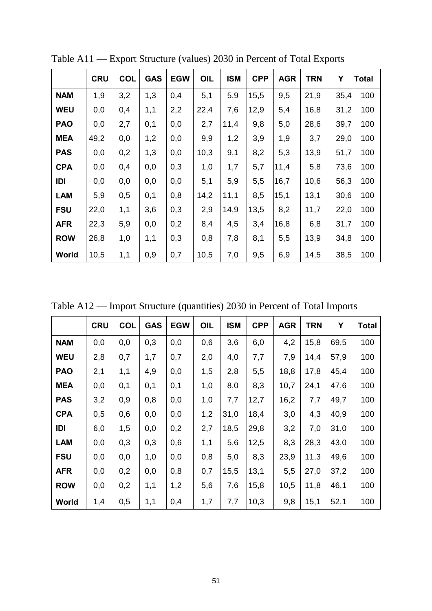|            | <b>CRU</b> | <b>COL</b> | <b>GAS</b> | <b>EGW</b> | OIL  | <b>ISM</b> | <b>CPP</b> | <b>AGR</b> | <b>TRN</b> | Υ    | <b>Total</b> |
|------------|------------|------------|------------|------------|------|------------|------------|------------|------------|------|--------------|
| <b>NAM</b> | 1,9        | 3,2        | 1,3        | 0,4        | 5,1  | 5,9        | 15,5       | 9,5        | 21,9       | 35,4 | 100          |
| <b>WEU</b> | 0,0        | 0,4        | 1,1        | 2,2        | 22,4 | 7,6        | 12,9       | 5,4        | 16,8       | 31,2 | 100          |
| <b>PAO</b> | 0,0        | 2,7        | 0,1        | 0,0        | 2,7  | 11,4       | 9,8        | 5,0        | 28,6       | 39,7 | 100          |
| <b>MEA</b> | 49,2       | 0,0        | 1,2        | 0,0        | 9,9  | 1,2        | 3,9        | 1,9        | 3,7        | 29,0 | 100          |
| <b>PAS</b> | 0,0        | 0,2        | 1,3        | 0,0        | 10,3 | 9,1        | 8,2        | 5,3        | 13,9       | 51,7 | 100          |
| <b>CPA</b> | 0,0        | 0,4        | 0,0        | 0,3        | 1,0  | 1,7        | 5,7        | 11,4       | 5,8        | 73,6 | 100          |
| IDI        | 0,0        | 0,0        | 0,0        | 0,0        | 5,1  | 5,9        | 5,5        | 16,7       | 10,6       | 56,3 | 100          |
| <b>LAM</b> | 5,9        | 0,5        | 0,1        | 0,8        | 14,2 | 11,1       | 8,5        | 15,1       | 13,1       | 30,6 | 100          |
| <b>FSU</b> | 22,0       | 1,1        | 3,6        | 0,3        | 2,9  | 14,9       | 13,5       | 8,2        | 11,7       | 22,0 | 100          |
| <b>AFR</b> | 22,3       | 5,9        | 0,0        | 0,2        | 8,4  | 4,5        | 3,4        | 16,8       | 6,8        | 31,7 | 100          |
| <b>ROW</b> | 26,8       | 1,0        | 1,1        | 0,3        | 0,8  | 7,8        | 8,1        | 5,5        | 13,9       | 34,8 | 100          |
| World      | 10,5       | 1,1        | 0,9        | 0,7        | 10,5 | 7,0        | 9,5        | 6,9        | 14,5       | 38,5 | 100          |

Table A11 — Export Structure (values) 2030 in Percent of Total Exports

Table A12 — Import Structure (quantities) 2030 in Percent of Total Imports

|            | <b>CRU</b> | <b>COL</b> | <b>GAS</b> | <b>EGW</b> | OIL | <b>ISM</b> | <b>CPP</b> | <b>AGR</b> | <b>TRN</b> | Υ    | Total |
|------------|------------|------------|------------|------------|-----|------------|------------|------------|------------|------|-------|
| <b>NAM</b> | 0,0        | 0,0        | 0,3        | 0,0        | 0,6 | 3,6        | 6,0        | 4,2        | 15,8       | 69,5 | 100   |
| <b>WEU</b> | 2,8        | 0,7        | 1,7        | 0,7        | 2,0 | 4,0        | 7,7        | 7,9        | 14,4       | 57,9 | 100   |
| <b>PAO</b> | 2,1        | 1,1        | 4,9        | 0,0        | 1,5 | 2,8        | 5,5        | 18,8       | 17,8       | 45,4 | 100   |
| <b>MEA</b> | 0,0        | 0,1        | 0,1        | 0,1        | 1,0 | 8,0        | 8,3        | 10,7       | 24,1       | 47,6 | 100   |
| <b>PAS</b> | 3,2        | 0,9        | 0,8        | 0,0        | 1,0 | 7,7        | 12,7       | 16,2       | 7,7        | 49,7 | 100   |
| <b>CPA</b> | 0,5        | 0,6        | 0,0        | 0,0        | 1,2 | 31,0       | 18,4       | 3,0        | 4,3        | 40,9 | 100   |
| IDI        | 6,0        | 1,5        | 0,0        | 0,2        | 2,7 | 18,5       | 29,8       | 3,2        | 7,0        | 31,0 | 100   |
| <b>LAM</b> | 0,0        | 0,3        | 0,3        | 0,6        | 1,1 | 5,6        | 12,5       | 8,3        | 28,3       | 43,0 | 100   |
| <b>FSU</b> | 0,0        | 0,0        | 1,0        | 0,0        | 0,8 | 5,0        | 8,3        | 23,9       | 11,3       | 49,6 | 100   |
| <b>AFR</b> | 0,0        | 0,2        | 0,0        | 0,8        | 0,7 | 15,5       | 13,1       | 5,5        | 27,0       | 37,2 | 100   |
| <b>ROW</b> | 0,0        | 0,2        | 1,1        | 1,2        | 5,6 | 7,6        | 15,8       | 10,5       | 11,8       | 46,1 | 100   |
| World      | 1,4        | 0,5        | 1,1        | 0,4        | 1,7 | 7,7        | 10,3       | 9,8        | 15,1       | 52,1 | 100   |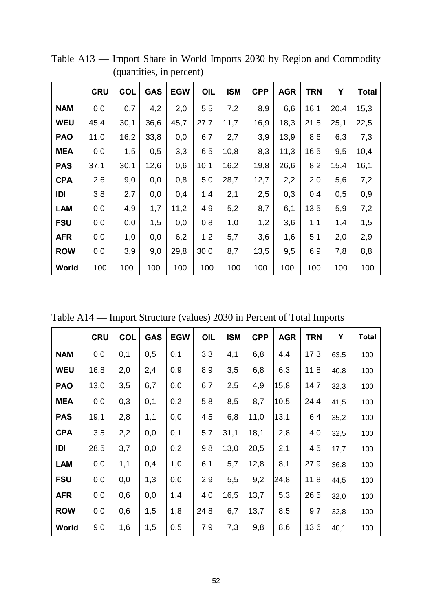|            | <b>CRU</b> | <b>COL</b> | <b>GAS</b> | <b>EGW</b> | OIL  | <b>ISM</b> | <b>CPP</b> | <b>AGR</b> | <b>TRN</b> | Y    | Total |
|------------|------------|------------|------------|------------|------|------------|------------|------------|------------|------|-------|
| <b>NAM</b> | 0,0        | 0,7        | 4,2        | 2,0        | 5,5  | 7,2        | 8,9        | 6,6        | 16,1       | 20,4 | 15,3  |
| <b>WEU</b> | 45,4       | 30,1       | 36,6       | 45,7       | 27,7 | 11,7       | 16,9       | 18,3       | 21,5       | 25,1 | 22,5  |
| <b>PAO</b> | 11,0       | 16,2       | 33,8       | 0,0        | 6,7  | 2,7        | 3,9        | 13,9       | 8,6        | 6,3  | 7,3   |
| <b>MEA</b> | 0,0        | 1,5        | 0,5        | 3,3        | 6,5  | 10,8       | 8,3        | 11,3       | 16,5       | 9,5  | 10,4  |
| <b>PAS</b> | 37,1       | 30,1       | 12,6       | 0,6        | 10,1 | 16,2       | 19,8       | 26,6       | 8,2        | 15,4 | 16,1  |
| <b>CPA</b> | 2,6        | 9,0        | 0,0        | 0,8        | 5,0  | 28,7       | 12,7       | 2,2        | 2,0        | 5,6  | 7,2   |
| IDI        | 3,8        | 2,7        | 0,0        | 0,4        | 1,4  | 2,1        | 2,5        | 0,3        | 0,4        | 0,5  | 0,9   |
| <b>LAM</b> | 0,0        | 4,9        | 1,7        | 11,2       | 4,9  | 5,2        | 8,7        | 6,1        | 13,5       | 5,9  | 7,2   |
| <b>FSU</b> | 0,0        | 0,0        | 1,5        | 0,0        | 0,8  | 1,0        | 1,2        | 3,6        | 1,1        | 1,4  | 1,5   |
| <b>AFR</b> | 0,0        | 1,0        | 0,0        | 6,2        | 1,2  | 5,7        | 3,6        | 1,6        | 5,1        | 2,0  | 2,9   |
| <b>ROW</b> | 0,0        | 3,9        | 9,0        | 29,8       | 30,0 | 8,7        | 13,5       | 9,5        | 6,9        | 7,8  | 8,8   |
| World      | 100        | 100        | 100        | 100        | 100  | 100        | 100        | 100        | 100        | 100  | 100   |

Table A13 — Import Share in World Imports 2030 by Region and Commodity (quantities, in percent)

Table A14 — Import Structure (values) 2030 in Percent of Total Imports

|            | <b>CRU</b> | <b>COL</b> | <b>GAS</b> | <b>EGW</b> | OIL  | <b>ISM</b> | <b>CPP</b> | <b>AGR</b> | <b>TRN</b> | Υ    | <b>Total</b> |
|------------|------------|------------|------------|------------|------|------------|------------|------------|------------|------|--------------|
| <b>NAM</b> | 0,0        | 0,1        | 0,5        | 0,1        | 3,3  | 4,1        | 6,8        | 4,4        | 17,3       | 63,5 | 100          |
| <b>WEU</b> | 16,8       | 2,0        | 2,4        | 0,9        | 8,9  | 3,5        | 6,8        | 6,3        | 11,8       | 40,8 | 100          |
| <b>PAO</b> | 13,0       | 3,5        | 6,7        | 0,0        | 6,7  | 2,5        | 4,9        | 15,8       | 14,7       | 32,3 | 100          |
| <b>MEA</b> | 0,0        | 0,3        | 0,1        | 0,2        | 5,8  | 8,5        | 8,7        | 10,5       | 24,4       | 41,5 | 100          |
| <b>PAS</b> | 19,1       | 2,8        | 1,1        | 0,0        | 4,5  | 6,8        | 11,0       | 13,1       | 6,4        | 35,2 | 100          |
| <b>CPA</b> | 3,5        | 2,2        | 0,0        | 0,1        | 5,7  | 31,1       | 18,1       | 2,8        | 4,0        | 32,5 | 100          |
| IDI        | 28,5       | 3,7        | 0,0        | 0,2        | 9,8  | 13,0       | 20,5       | 2,1        | 4,5        | 17,7 | 100          |
| <b>LAM</b> | 0,0        | 1,1        | 0,4        | 1,0        | 6,1  | 5,7        | 12,8       | 8,1        | 27,9       | 36,8 | 100          |
| <b>FSU</b> | 0,0        | 0,0        | 1,3        | 0,0        | 2,9  | 5,5        | 9,2        | 24,8       | 11,8       | 44,5 | 100          |
| <b>AFR</b> | 0,0        | 0,6        | 0,0        | 1,4        | 4,0  | 16,5       | 13,7       | 5,3        | 26,5       | 32,0 | 100          |
| <b>ROW</b> | 0,0        | 0,6        | 1,5        | 1,8        | 24,8 | 6,7        | 13,7       | 8,5        | 9,7        | 32,8 | 100          |
| World      | 9,0        | 1,6        | 1,5        | 0,5        | 7,9  | 7,3        | 9,8        | 8,6        | 13,6       | 40,1 | 100          |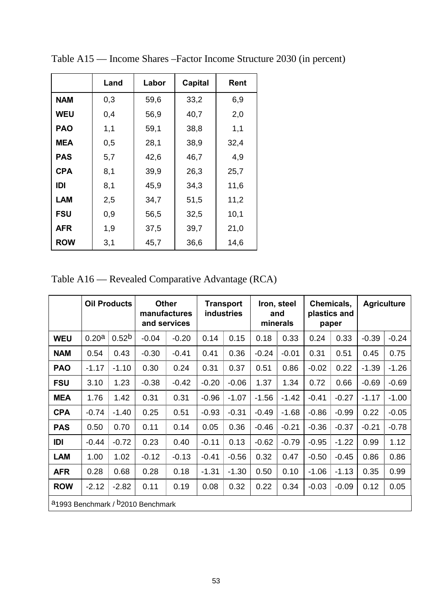|            | Land | Labor | Capital | Rent |
|------------|------|-------|---------|------|
| <b>NAM</b> | 0,3  | 59,6  | 33,2    | 6,9  |
| <b>WEU</b> | 0,4  | 56,9  | 40,7    | 2,0  |
| <b>PAO</b> | 1,1  | 59,1  | 38,8    | 1,1  |
| <b>MEA</b> | 0,5  | 28,1  | 38,9    | 32,4 |
| <b>PAS</b> | 5,7  | 42,6  | 46,7    | 4,9  |
| <b>CPA</b> | 8,1  | 39,9  | 26,3    | 25,7 |
| IDI        | 8,1  | 45,9  | 34,3    | 11,6 |
| LAM        | 2,5  | 34,7  | 51,5    | 11,2 |
| <b>FSU</b> | 0,9  | 56,5  | 32,5    | 10,1 |
| <b>AFR</b> | 1,9  | 37,5  | 39,7    | 21,0 |
| <b>ROW</b> | 3,1  | 45,7  | 36,6    | 14,6 |

Table A15 — Income Shares –Factor Income Structure 2030 (in percent)

Table A16 — Revealed Comparative Advantage (RCA)

|                                                           | <b>Oil Products</b> |                   | <b>Other</b><br>manufactures<br>and services |         | <b>Transport</b><br><b>industries</b> |         | Iron, steel<br>and<br>minerals |         | Chemicals,<br>plastics and<br>paper |         | <b>Agriculture</b> |         |
|-----------------------------------------------------------|---------------------|-------------------|----------------------------------------------|---------|---------------------------------------|---------|--------------------------------|---------|-------------------------------------|---------|--------------------|---------|
| <b>WEU</b>                                                | 0.20a               | 0.52 <sup>b</sup> | $-0.04$                                      | $-0.20$ | 0.14                                  | 0.15    | 0.18                           | 0.33    | 0.24                                | 0.33    | $-0.39$            | $-0.24$ |
| <b>NAM</b>                                                | 0.54                | 0.43              | $-0.30$                                      | $-0.41$ | 0.41                                  | 0.36    | $-0.24$                        | $-0.01$ | 0.31                                | 0.51    | 0.45               | 0.75    |
| <b>PAO</b>                                                | $-1.17$             | $-1.10$           | 0.30                                         | 0.24    | 0.31                                  | 0.37    | 0.51                           | 0.86    | $-0.02$                             | 0.22    | $-1.39$            | $-1.26$ |
| <b>FSU</b>                                                | 3.10                | 1.23              | $-0.38$                                      | $-0.42$ | $-0.20$                               | $-0.06$ | 1.37                           | 1.34    | 0.72                                | 0.66    | $-0.69$            | $-0.69$ |
| <b>MEA</b>                                                | 1.76                | 1.42              | 0.31                                         | 0.31    | $-0.96$                               | $-1.07$ | $-1.56$                        | $-1.42$ | $-0.41$                             | $-0.27$ | $-1.17$            | $-1.00$ |
| <b>CPA</b>                                                | $-0.74$             | $-1.40$           | 0.25                                         | 0.51    | $-0.93$                               | $-0.31$ | $-0.49$                        | $-1.68$ | $-0.86$                             | $-0.99$ | 0.22               | $-0.05$ |
| <b>PAS</b>                                                | 0.50                | 0.70              | 0.11                                         | 0.14    | 0.05                                  | 0.36    | $-0.46$                        | $-0.21$ | $-0.36$                             | $-0.37$ | $-0.21$            | $-0.78$ |
| IDI                                                       | $-0.44$             | $-0.72$           | 0.23                                         | 0.40    | $-0.11$                               | 0.13    | $-0.62$                        | $-0.79$ | $-0.95$                             | $-1.22$ | 0.99               | 1.12    |
| <b>LAM</b>                                                | 1.00                | 1.02              | $-0.12$                                      | $-0.13$ | $-0.41$                               | $-0.56$ | 0.32                           | 0.47    | $-0.50$                             | $-0.45$ | 0.86               | 0.86    |
| <b>AFR</b>                                                | 0.28                | 0.68              | 0.28                                         | 0.18    | $-1.31$                               | $-1.30$ | 0.50                           | 0.10    | $-1.06$                             | $-1.13$ | 0.35               | 0.99    |
| <b>ROW</b>                                                | $-2.12$             | $-2.82$           | 0.11                                         | 0.19    | 0.08                                  | 0.32    | 0.22                           | 0.34    | $-0.03$                             | $-0.09$ | 0.12               | 0.05    |
| a <sub>1993</sub> Benchmark / <sup>b</sup> 2010 Benchmark |                     |                   |                                              |         |                                       |         |                                |         |                                     |         |                    |         |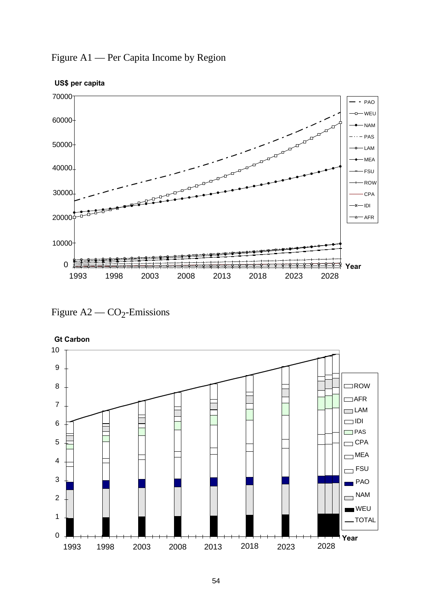

Figure A1 — Per Capita Income by Region



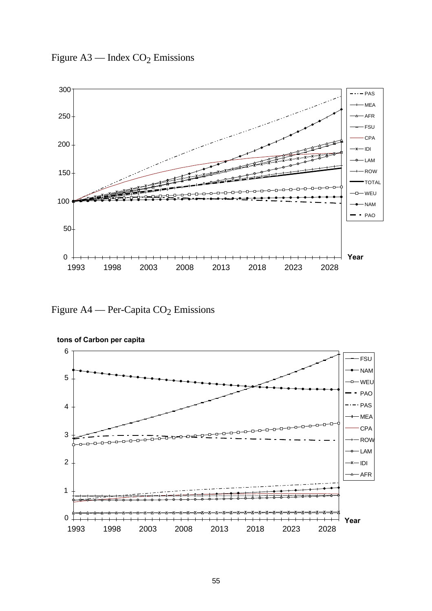Figure  $A3$  — Index  $CO_2$  Emissions



Figure A4 — Per-Capita  $CO<sub>2</sub>$  Emissions



**tons of Carbon per capita**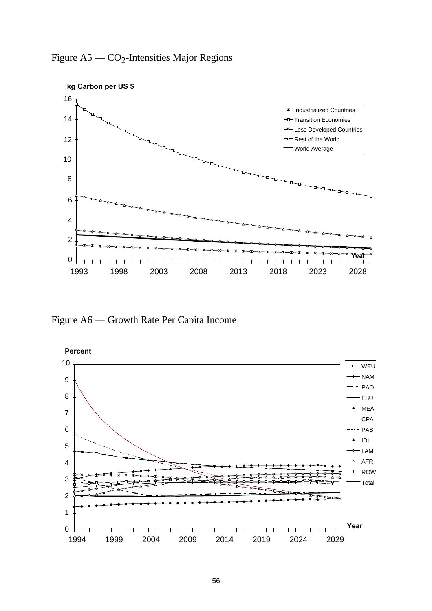



Figure A6 — Growth Rate Per Capita Income

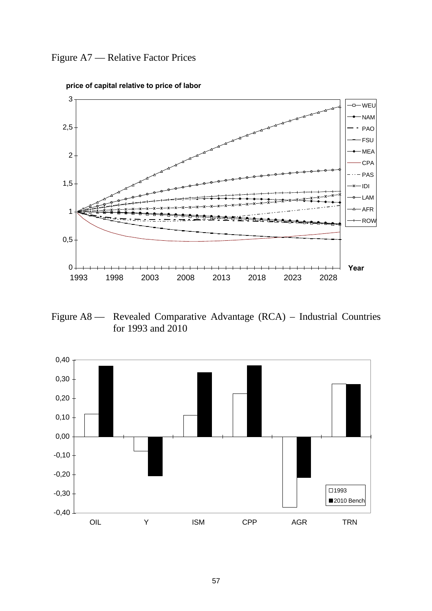



**price of capital relative to price of labor**

Figure A8 — Revealed Comparative Advantage (RCA) – Industrial Countries for 1993 and 2010

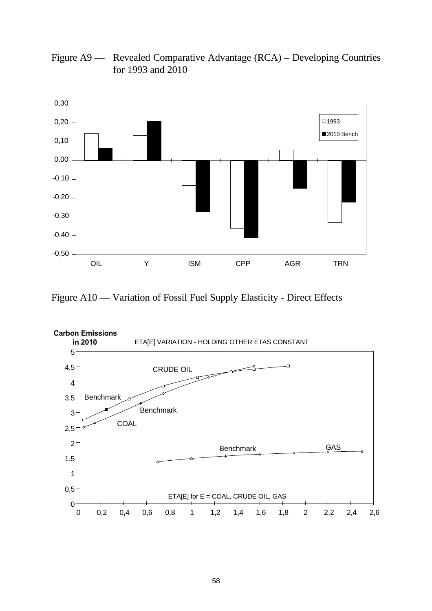

Figure A9 — Revealed Comparative Advantage (RCA) – Developing Countries for 1993 and 2010

Figure A10 — Variation of Fossil Fuel Supply Elasticity - Direct Effects

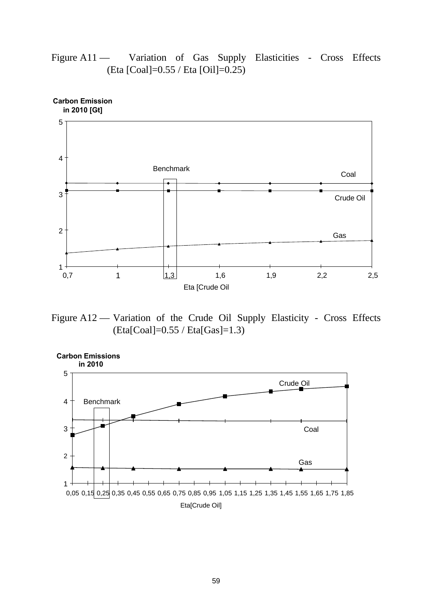

Figure A11 — Variation of Gas Supply Elasticities - Cross Effects (Eta [Coal]=0.55 / Eta [Oil]=0.25)

Figure A12 — Variation of the Crude Oil Supply Elasticity - Cross Effects (Eta[Coal]=0.55 / Eta[Gas]=1.3)

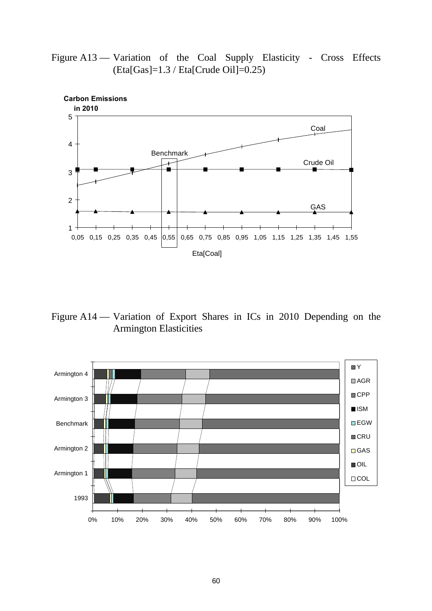



Figure A14 — Variation of Export Shares in ICs in 2010 Depending on the Armington Elasticities

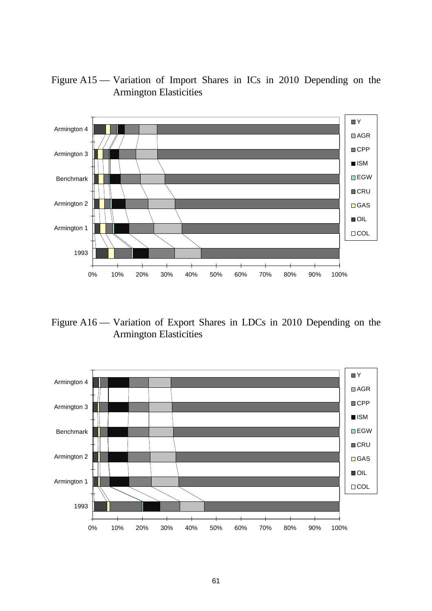# Figure A15 — Variation of Import Shares in ICs in 2010 Depending on the Armington Elasticities



Figure A16 — Variation of Export Shares in LDCs in 2010 Depending on the Armington Elasticities

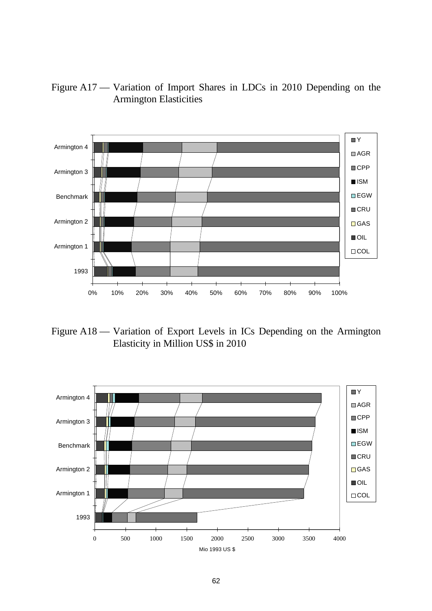



Figure A18 — Variation of Export Levels in ICs Depending on the Armington Elasticity in Million US\$ in 2010

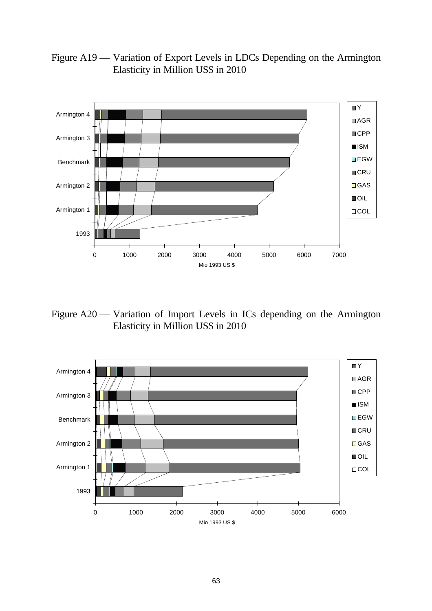Figure A19 — Variation of Export Levels in LDCs Depending on the Armington Elasticity in Million US\$ in 2010



Figure A20 — Variation of Import Levels in ICs depending on the Armington Elasticity in Million US\$ in 2010

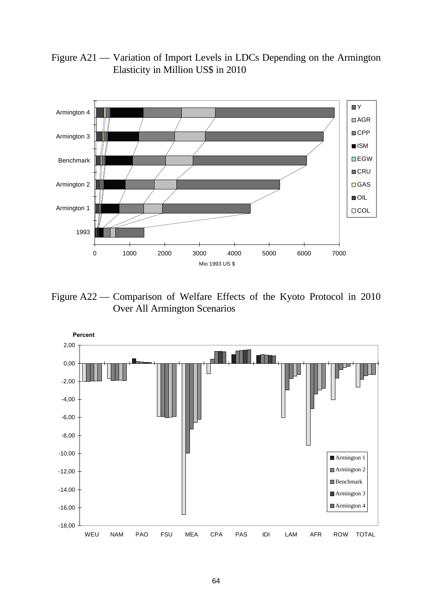

Figure A21 — Variation of Import Levels in LDCs Depending on the Armington Elasticity in Million US\$ in 2010

Figure A22 — Comparison of Welfare Effects of the Kyoto Protocol in 2010 Over All Armington Scenarios

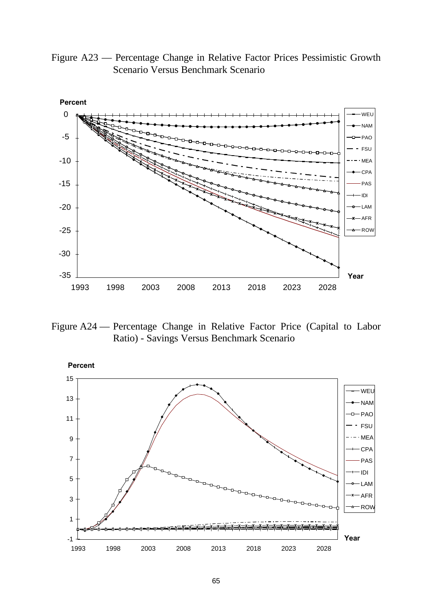Figure A23 — Percentage Change in Relative Factor Prices Pessimistic Growth Scenario Versus Benchmark Scenario



Figure A24 — Percentage Change in Relative Factor Price (Capital to Labor Ratio) - Savings Versus Benchmark Scenario

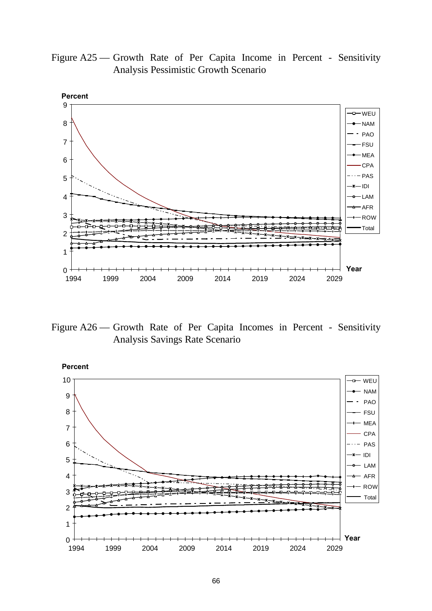Figure A25 — Growth Rate of Per Capita Income in Percent - Sensitivity Analysis Pessimistic Growth Scenario



Figure A26 — Growth Rate of Per Capita Incomes in Percent - Sensitivity Analysis Savings Rate Scenario

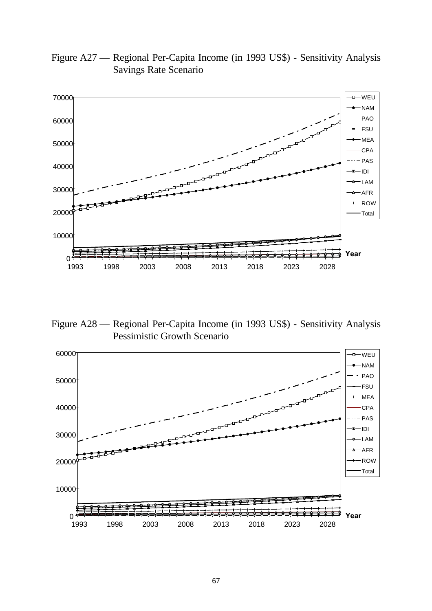

Figure A27 — Regional Per-Capita Income (in 1993 US\$) - Sensitivity Analysis Savings Rate Scenario

Figure A28 — Regional Per-Capita Income (in 1993 US\$) - Sensitivity Analysis Pessimistic Growth Scenario

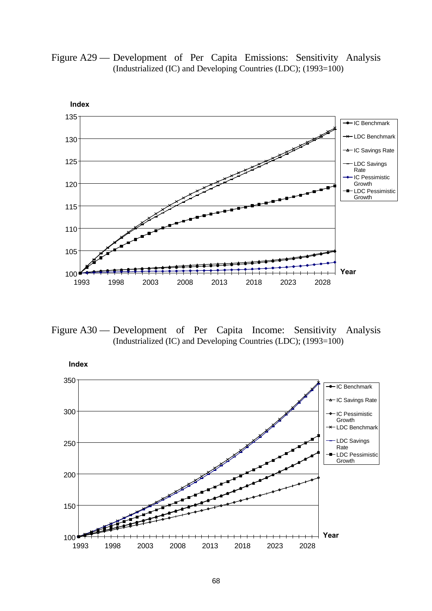Figure A29 — Development of Per Capita Emissions: Sensitivity Analysis (Industrialized (IC) and Developing Countries (LDC); (1993=100)



Figure A30 — Development of Per Capita Income: Sensitivity Analysis (Industrialized (IC) and Developing Countries (LDC); (1993=100)

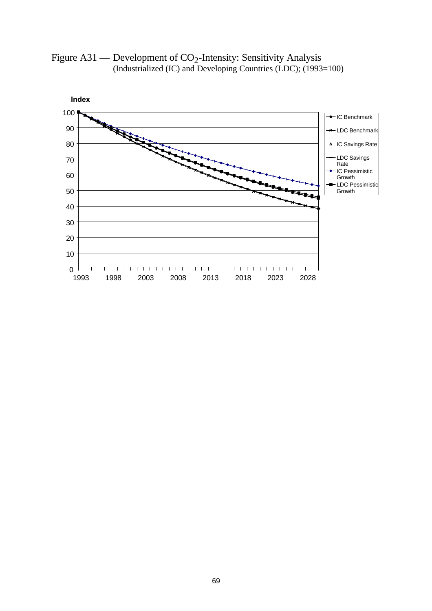Figure  $A31$  — Development of  $CO_2$ -Intensity: Sensitivity Analysis (Industrialized (IC) and Developing Countries (LDC); (1993=100)